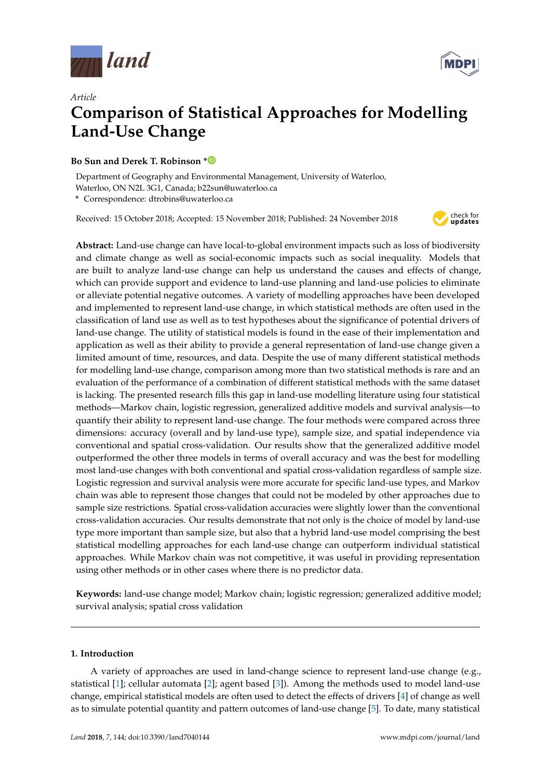

*Article*



# **Comparison of Statistical Approaches for Modelling Land-Use Change**

# **Bo Sun and Derek T. Robinson [\\*](https://orcid.org/0000-0002-4293-1095)**

Department of Geography and Environmental Management, University of Waterloo, Waterloo, ON N2L 3G1, Canada; b22sun@uwaterloo.ca

**\*** Correspondence: dtrobins@uwaterloo.ca

Received: 15 October 2018; Accepted: 15 November 2018; Published: 24 November 2018



**Abstract:** Land-use change can have local-to-global environment impacts such as loss of biodiversity and climate change as well as social-economic impacts such as social inequality. Models that are built to analyze land-use change can help us understand the causes and effects of change, which can provide support and evidence to land-use planning and land-use policies to eliminate or alleviate potential negative outcomes. A variety of modelling approaches have been developed and implemented to represent land-use change, in which statistical methods are often used in the classification of land use as well as to test hypotheses about the significance of potential drivers of land-use change. The utility of statistical models is found in the ease of their implementation and application as well as their ability to provide a general representation of land-use change given a limited amount of time, resources, and data. Despite the use of many different statistical methods for modelling land-use change, comparison among more than two statistical methods is rare and an evaluation of the performance of a combination of different statistical methods with the same dataset is lacking. The presented research fills this gap in land-use modelling literature using four statistical methods—Markov chain, logistic regression, generalized additive models and survival analysis—to quantify their ability to represent land-use change. The four methods were compared across three dimensions: accuracy (overall and by land-use type), sample size, and spatial independence via conventional and spatial cross-validation. Our results show that the generalized additive model outperformed the other three models in terms of overall accuracy and was the best for modelling most land-use changes with both conventional and spatial cross-validation regardless of sample size. Logistic regression and survival analysis were more accurate for specific land-use types, and Markov chain was able to represent those changes that could not be modeled by other approaches due to sample size restrictions. Spatial cross-validation accuracies were slightly lower than the conventional cross-validation accuracies. Our results demonstrate that not only is the choice of model by land-use type more important than sample size, but also that a hybrid land-use model comprising the best statistical modelling approaches for each land-use change can outperform individual statistical approaches. While Markov chain was not competitive, it was useful in providing representation using other methods or in other cases where there is no predictor data.

**Keywords:** land-use change model; Markov chain; logistic regression; generalized additive model; survival analysis; spatial cross validation

# **1. Introduction**

A variety of approaches are used in land-change science to represent land-use change (e.g., statistical [\[1\]](#page-29-0); cellular automata [\[2\]](#page-29-1); agent based [\[3\]](#page-29-2)). Among the methods used to model land-use change, empirical statistical models are often used to detect the effects of drivers [\[4\]](#page-29-3) of change as well as to simulate potential quantity and pattern outcomes of land-use change [\[5\]](#page-29-4). To date, many statistical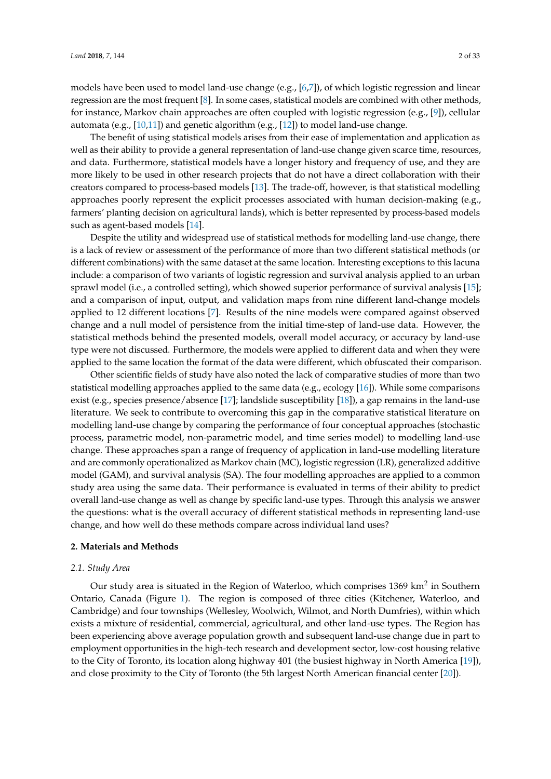models have been used to model land-use change (e.g., [\[6](#page-29-5)[,7\]](#page-29-6)), of which logistic regression and linear regression are the most frequent [\[8\]](#page-29-7). In some cases, statistical models are combined with other methods, for instance, Markov chain approaches are often coupled with logistic regression (e.g., [\[9\]](#page-29-8)), cellular automata (e.g.,  $[10,11]$  $[10,11]$ ) and genetic algorithm (e.g.,  $[12]$ ) to model land-use change.

The benefit of using statistical models arises from their ease of implementation and application as well as their ability to provide a general representation of land-use change given scarce time, resources, and data. Furthermore, statistical models have a longer history and frequency of use, and they are more likely to be used in other research projects that do not have a direct collaboration with their creators compared to process-based models [\[13\]](#page-30-3). The trade-off, however, is that statistical modelling approaches poorly represent the explicit processes associated with human decision-making (e.g., farmers' planting decision on agricultural lands), which is better represented by process-based models such as agent-based models [\[14\]](#page-30-4).

Despite the utility and widespread use of statistical methods for modelling land-use change, there is a lack of review or assessment of the performance of more than two different statistical methods (or different combinations) with the same dataset at the same location. Interesting exceptions to this lacuna include: a comparison of two variants of logistic regression and survival analysis applied to an urban sprawl model (i.e., a controlled setting), which showed superior performance of survival analysis [\[15\]](#page-30-5); and a comparison of input, output, and validation maps from nine different land-change models applied to 12 different locations [\[7\]](#page-29-6). Results of the nine models were compared against observed change and a null model of persistence from the initial time-step of land-use data. However, the statistical methods behind the presented models, overall model accuracy, or accuracy by land-use type were not discussed. Furthermore, the models were applied to different data and when they were applied to the same location the format of the data were different, which obfuscated their comparison.

Other scientific fields of study have also noted the lack of comparative studies of more than two statistical modelling approaches applied to the same data (e.g., ecology [\[16\]](#page-30-6)). While some comparisons exist (e.g., species presence/absence [\[17\]](#page-30-7); landslide susceptibility [\[18\]](#page-30-8)), a gap remains in the land-use literature. We seek to contribute to overcoming this gap in the comparative statistical literature on modelling land-use change by comparing the performance of four conceptual approaches (stochastic process, parametric model, non-parametric model, and time series model) to modelling land-use change. These approaches span a range of frequency of application in land-use modelling literature and are commonly operationalized as Markov chain (MC), logistic regression (LR), generalized additive model (GAM), and survival analysis (SA). The four modelling approaches are applied to a common study area using the same data. Their performance is evaluated in terms of their ability to predict overall land-use change as well as change by specific land-use types. Through this analysis we answer the questions: what is the overall accuracy of different statistical methods in representing land-use change, and how well do these methods compare across individual land uses?

#### **2. Materials and Methods**

#### *2.1. Study Area*

Our study area is situated in the Region of Waterloo, which comprises 1369 km<sup>2</sup> in Southern Ontario, Canada (Figure [1\)](#page-2-0). The region is composed of three cities (Kitchener, Waterloo, and Cambridge) and four townships (Wellesley, Woolwich, Wilmot, and North Dumfries), within which exists a mixture of residential, commercial, agricultural, and other land-use types. The Region has been experiencing above average population growth and subsequent land-use change due in part to employment opportunities in the high-tech research and development sector, low-cost housing relative to the City of Toronto, its location along highway 401 (the busiest highway in North America [\[19\]](#page-30-9)), and close proximity to the City of Toronto (the 5th largest North American financial center [\[20\]](#page-30-10)).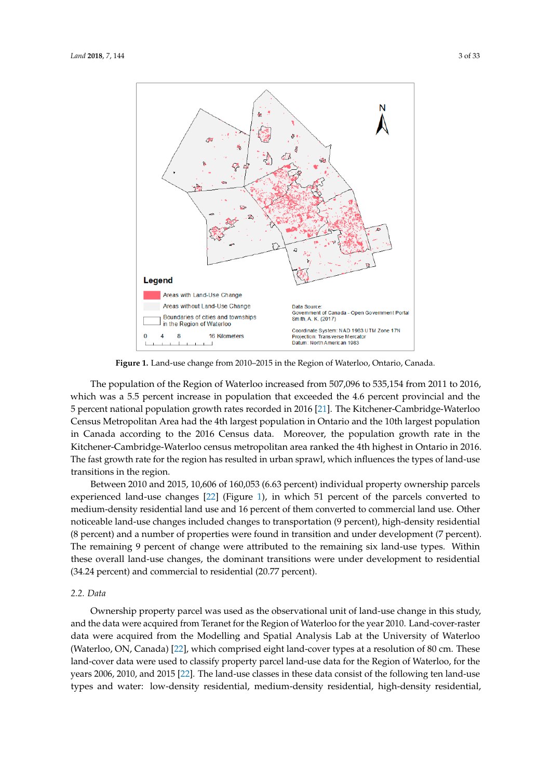<span id="page-2-0"></span>

**Figure 1.** Land-use change from 2010–2015 in the Region of Waterloo, Ontario, Canada. **Figure 1.** Land-use change from 2010–2015 in the Region of Waterloo, Ontario, Canada.

*2.2. Data*  The population of the Region of Waterloo increased from 507,096 to 535,154 from 2011 to 2016, 5 percent national population growth rates recorded in 2016 [\[21\]](#page-30-11). The Kitchener-Cambridge-Waterloo Census Metropolitan Area had the 4th largest population in Ontario and the 10th largest population in Canada according to the 2016 Census data. Moreover, the population growth rate in the Kitchener-Cambridge-Waterloo census metropolitan area ranked the 4th highest in Ontario in 2016. The fast growth rate for the region has resulted in urban sprawl, which influences the types of land-use transitions in the region. which was a 5.5 percent increase in population that exceeded the 4.6 percent provincial and the

Between 2010 and 2015, 10,606 of 160,053 (6.63 percent) individual property ownership parcels experienced land-use changes [\[22\]](#page-30-12) (Figure [1\)](#page-2-0), in which 51 percent of the parcels converted to medium-density residential land use and 16 percent of them converted to commercial land use. Other noticeable land-use changes included changes to transportation (9 percent), high-density residential (8 percent) and a number of properties were found in transition and under development (7 percent). The remaining 9 percent of change were attributed to the remaining six land-use types. Within these overall land-use changes, the dominant transitions were under development to residential (34.24 percent) and commercial to residential (20.77 percent).

# *2.2. Data*

Ownership property parcel was used as the observational unit of land-use change in this study, and the data were acquired from Teranet for the Region of Waterloo for the year 2010. Land-cover-raster data were acquired from the Modelling and Spatial Analysis Lab at the University of Waterloo (Waterloo, ON, Canada) [\[22\]](#page-30-12), which comprised eight land-cover types at a resolution of 80 cm. These land-cover data were used to classify property parcel land-use data for the Region of Waterloo, for the years 2006, 2010, and 2015 [\[22\]](#page-30-12). The land-use classes in these data consist of the following ten land-use types and water: low-density residential, medium-density residential, high-density residential,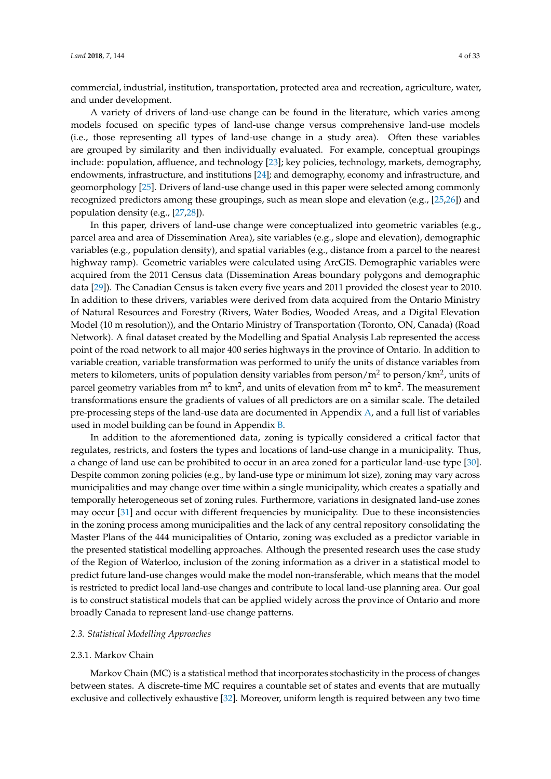commercial, industrial, institution, transportation, protected area and recreation, agriculture, water, and under development.

A variety of drivers of land-use change can be found in the literature, which varies among models focused on specific types of land-use change versus comprehensive land-use models (i.e., those representing all types of land-use change in a study area). Often these variables are grouped by similarity and then individually evaluated. For example, conceptual groupings include: population, affluence, and technology [\[23\]](#page-30-13); key policies, technology, markets, demography, endowments, infrastructure, and institutions [\[24\]](#page-30-14); and demography, economy and infrastructure, and geomorphology [\[25\]](#page-30-15). Drivers of land-use change used in this paper were selected among commonly recognized predictors among these groupings, such as mean slope and elevation (e.g., [\[25,](#page-30-15)[26\]](#page-30-16)) and population density (e.g., [\[27](#page-30-17)[,28\]](#page-30-18)).

In this paper, drivers of land-use change were conceptualized into geometric variables (e.g., parcel area and area of Dissemination Area), site variables (e.g., slope and elevation), demographic variables (e.g., population density), and spatial variables (e.g., distance from a parcel to the nearest highway ramp). Geometric variables were calculated using ArcGIS. Demographic variables were acquired from the 2011 Census data (Dissemination Areas boundary polygons and demographic data [\[29\]](#page-30-19)). The Canadian Census is taken every five years and 2011 provided the closest year to 2010. In addition to these drivers, variables were derived from data acquired from the Ontario Ministry of Natural Resources and Forestry (Rivers, Water Bodies, Wooded Areas, and a Digital Elevation Model (10 m resolution)), and the Ontario Ministry of Transportation (Toronto, ON, Canada) (Road Network). A final dataset created by the Modelling and Spatial Analysis Lab represented the access point of the road network to all major 400 series highways in the province of Ontario. In addition to variable creation, variable transformation was performed to unify the units of distance variables from meters to kilometers, units of population density variables from person/m<sup>2</sup> to person/km<sup>2</sup>, units of parcel geometry variables from m<sup>2</sup> to km<sup>2</sup>, and units of elevation from m<sup>2</sup> to km<sup>2</sup>. The measurement transformations ensure the gradients of values of all predictors are on a similar scale. The detailed pre-processing steps of the land-use data are documented in Appendix [A,](#page-15-0) and a full list of variables used in model building can be found in Appendix [B.](#page-17-0)

In addition to the aforementioned data, zoning is typically considered a critical factor that regulates, restricts, and fosters the types and locations of land-use change in a municipality. Thus, a change of land use can be prohibited to occur in an area zoned for a particular land-use type [\[30\]](#page-30-20). Despite common zoning policies (e.g., by land-use type or minimum lot size), zoning may vary across municipalities and may change over time within a single municipality, which creates a spatially and temporally heterogeneous set of zoning rules. Furthermore, variations in designated land-use zones may occur [\[31\]](#page-30-21) and occur with different frequencies by municipality. Due to these inconsistencies in the zoning process among municipalities and the lack of any central repository consolidating the Master Plans of the 444 municipalities of Ontario, zoning was excluded as a predictor variable in the presented statistical modelling approaches. Although the presented research uses the case study of the Region of Waterloo, inclusion of the zoning information as a driver in a statistical model to predict future land-use changes would make the model non-transferable, which means that the model is restricted to predict local land-use changes and contribute to local land-use planning area. Our goal is to construct statistical models that can be applied widely across the province of Ontario and more broadly Canada to represent land-use change patterns.

## *2.3. Statistical Modelling Approaches*

#### 2.3.1. Markov Chain

Markov Chain (MC) is a statistical method that incorporates stochasticity in the process of changes between states. A discrete-time MC requires a countable set of states and events that are mutually exclusive and collectively exhaustive [\[32\]](#page-30-22). Moreover, uniform length is required between any two time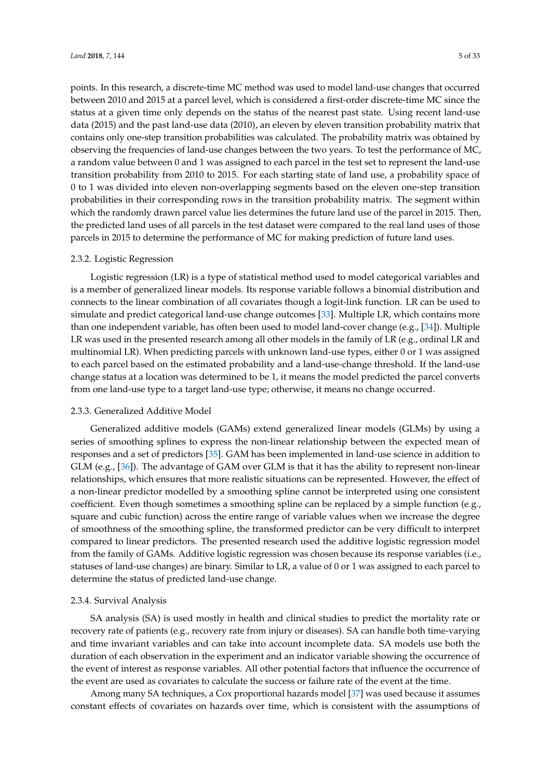points. In this research, a discrete-time MC method was used to model land-use changes that occurred between 2010 and 2015 at a parcel level, which is considered a first-order discrete-time MC since the status at a given time only depends on the status of the nearest past state. Using recent land-use data (2015) and the past land-use data (2010), an eleven by eleven transition probability matrix that contains only one-step transition probabilities was calculated. The probability matrix was obtained by observing the frequencies of land-use changes between the two years. To test the performance of MC, a random value between 0 and 1 was assigned to each parcel in the test set to represent the land-use transition probability from 2010 to 2015. For each starting state of land use, a probability space of 0 to 1 was divided into eleven non-overlapping segments based on the eleven one-step transition probabilities in their corresponding rows in the transition probability matrix. The segment within which the randomly drawn parcel value lies determines the future land use of the parcel in 2015. Then, the predicted land uses of all parcels in the test dataset were compared to the real land uses of those parcels in 2015 to determine the performance of MC for making prediction of future land uses.

#### 2.3.2. Logistic Regression

Logistic regression (LR) is a type of statistical method used to model categorical variables and is a member of generalized linear models. Its response variable follows a binomial distribution and connects to the linear combination of all covariates though a logit-link function. LR can be used to simulate and predict categorical land-use change outcomes [\[33\]](#page-30-23). Multiple LR, which contains more than one independent variable, has often been used to model land-cover change (e.g., [\[34\]](#page-31-0)). Multiple LR was used in the presented research among all other models in the family of LR (e.g., ordinal LR and multinomial LR). When predicting parcels with unknown land-use types, either 0 or 1 was assigned to each parcel based on the estimated probability and a land-use-change threshold. If the land-use change status at a location was determined to be 1, it means the model predicted the parcel converts from one land-use type to a target land-use type; otherwise, it means no change occurred.

#### 2.3.3. Generalized Additive Model

Generalized additive models (GAMs) extend generalized linear models (GLMs) by using a series of smoothing splines to express the non-linear relationship between the expected mean of responses and a set of predictors [\[35\]](#page-31-1). GAM has been implemented in land-use science in addition to GLM (e.g., [\[36\]](#page-31-2)). The advantage of GAM over GLM is that it has the ability to represent non-linear relationships, which ensures that more realistic situations can be represented. However, the effect of a non-linear predictor modelled by a smoothing spline cannot be interpreted using one consistent coefficient. Even though sometimes a smoothing spline can be replaced by a simple function (e.g., square and cubic function) across the entire range of variable values when we increase the degree of smoothness of the smoothing spline, the transformed predictor can be very difficult to interpret compared to linear predictors. The presented research used the additive logistic regression model from the family of GAMs. Additive logistic regression was chosen because its response variables (i.e., statuses of land-use changes) are binary. Similar to LR, a value of 0 or 1 was assigned to each parcel to determine the status of predicted land-use change.

#### 2.3.4. Survival Analysis

SA analysis (SA) is used mostly in health and clinical studies to predict the mortality rate or recovery rate of patients (e.g., recovery rate from injury or diseases). SA can handle both time-varying and time invariant variables and can take into account incomplete data. SA models use both the duration of each observation in the experiment and an indicator variable showing the occurrence of the event of interest as response variables. All other potential factors that influence the occurrence of the event are used as covariates to calculate the success or failure rate of the event at the time.

Among many SA techniques, a Cox proportional hazards model [\[37\]](#page-31-3) was used because it assumes constant effects of covariates on hazards over time, which is consistent with the assumptions of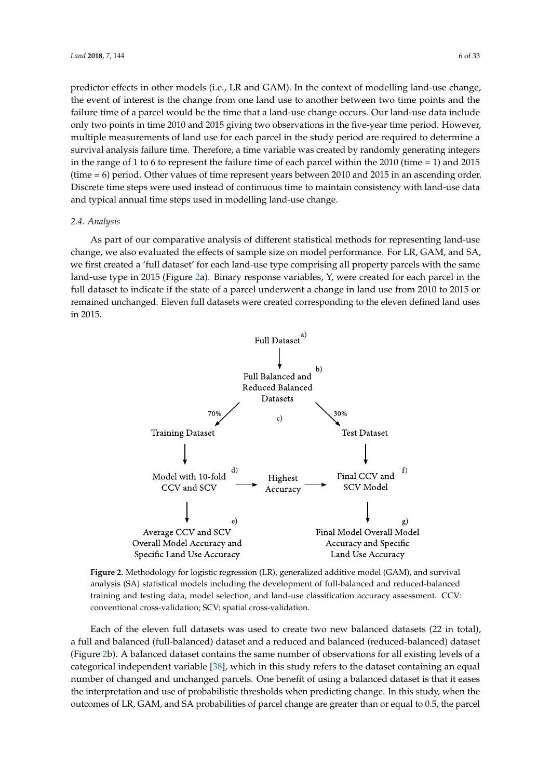predictor effects in other models (i.e., LR and GAM). In the context of modelling land-use change, the event of interest is the change from one land-use to another between two time points and the failure time of a parcel would be the time that a land-use change occurs. Our land-use data include only two points in time 2010 and 2015 giving two observations in the five-year time period. However, multiple measurements of land use for each parcel in the study period are required to determine a multiple measurements of land use for each parcel in the study period are required to determine a survival analysis failure time. Therefore, a time variable was created by randomly generating integers in the range of 1 to 6 to represent the failure time of each parcel within the 2010 (time = 1) and 2015  $t_{\text{time}}$  (time = 6) period. Other values of time represent years between 2010 and 2015 in an ascending order. Discrete time steps were used instead of continuous time to maintain consistency with land-use data and typical annual time steps used in modelling land-use change.

# <span id="page-5-1"></span>*2.4. Analysis 2.4. Analysis*

As part of our comparative analysis of different statistical methods for representing land-use As part of our comparative analysis of different statistical methods for representing land-use change, we also evaluated the effects of sample size on model performance. For LR, GAM, and SA, change, we also evaluated the effects of sample size on model performance. For LR, GAM, and SA, we first created a 'full dataset' for each land-use type comprising all property parcels with the same we first created a 'full dataset' for each land-use type comprising all property parcels with the same land-use type in 2015 (Figure [2a](#page-5-0)). Binary response variables, Y, were created for each parcel in the land-use type in 2015 (Figure 2a). Binary response variables, Y, were created for each parcel in the full dataset to indicate if the state of a parcel underwent a change in land use from 2010 to 2015 or full dataset to indicate if the state of a parcel underwent a change in land use from 2010 to 2015 or remained unchanged. Eleven full datasets were created corresponding to the eleven defined land uses remained unchanged. Eleven full datasets were created corresponding to the eleven defined land in 2015. uses in 2015.

<span id="page-5-0"></span>

**Figure 2.** Methodology for logistic regression (LR), generalized additive model (GAM), and survival analysis (SA) statistical models including the development of full-balanced and reduced-balanced analysis (SA) statistical models including the development of full-balanced and reduced-balanced training and testing data, model selection, and land-use classification accuracy assessment. CCV: training and testing data, model selection, and land-use classification accuracy assessment. CCV: conventional cross validation; SCV: spatial cross-validation. conventional cross-validation; SCV: spatial cross-validation. **Figure 2.** Methodology for logistic regression (LR), generalized additive model (GAM), and survival

a full and balanced (full-balanced) dataset and a reduced and balanced (reduced-balanced) dataset (Figure [2b](#page-5-0)). A balanced dataset contains the same number of observations for all existing levels of a categorical independent variable [\[38\]](#page-31-4), which in this study refers to the dataset containing an equal number of changed and unchanged parcels. One benefit of using a balanced dataset is that it eases the interpretation and use of probabilistic thresholds when predicting change. In this study, when the outcomes of LR, GAM, and SA probabilities of parcel change are greater than or equal to 0.5, the parcel  $\frac{1}{\sqrt{2}}$  and  $\frac{1}{\sqrt{2}}$  parcel change are greater than or equal to 0.5, the 0.5, the 0.5, the 0.5, the 0.5, the 0.5, the 0.5, the 0.5, the 0.5, the 0.5, the 0.5, the 0.5, the 0.5, the 0.5, the 0.5, the 0.5, the 0.5, Each of the eleven full datasets was used to create two new balanced datasets (22 in total),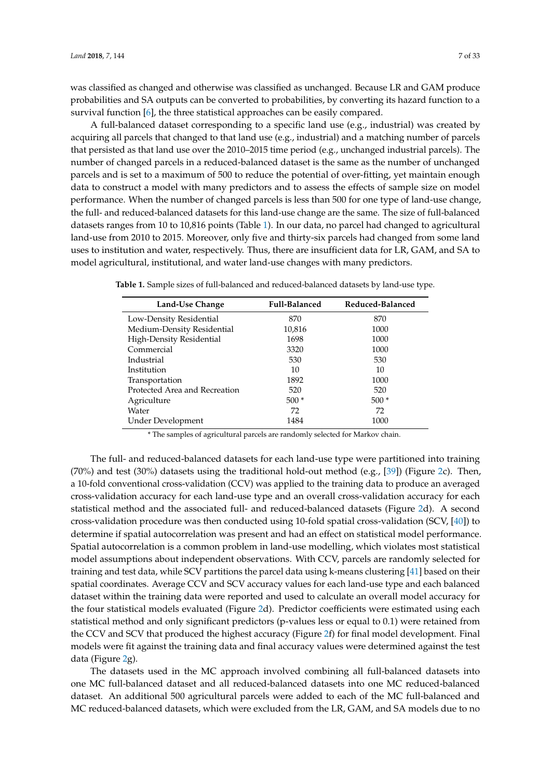was classified as changed and otherwise was classified as unchanged. Because LR and GAM produce probabilities and SA outputs can be converted to probabilities, by converting its hazard function to a survival function [\[6\]](#page-29-5), the three statistical approaches can be easily compared.

A full-balanced dataset corresponding to a specific land use (e.g., industrial) was created by acquiring all parcels that changed to that land use (e.g., industrial) and a matching number of parcels that persisted as that land use over the 2010–2015 time period (e.g., unchanged industrial parcels). The number of changed parcels in a reduced-balanced dataset is the same as the number of unchanged parcels and is set to a maximum of 500 to reduce the potential of over-fitting, yet maintain enough data to construct a model with many predictors and to assess the effects of sample size on model performance. When the number of changed parcels is less than 500 for one type of land-use change, the full- and reduced-balanced datasets for this land-use change are the same. The size of full-balanced datasets ranges from 10 to 10,816 points (Table [1\)](#page-6-0). In our data, no parcel had changed to agricultural land-use from 2010 to 2015. Moreover, only five and thirty-six parcels had changed from some land uses to institution and water, respectively. Thus, there are insufficient data for LR, GAM, and SA to model agricultural, institutional, and water land-use changes with many predictors.

| Land-Use Change               | Full-Balanced | Reduced-Balanced |
|-------------------------------|---------------|------------------|
| Low-Density Residential       | 870           | 870              |
| Medium-Density Residential    | 10,816        | 1000             |
| High-Density Residential      | 1698          | 1000             |
| Commercial                    | 3320          | 1000             |
| Industrial                    | 530           | 530              |
| Institution                   | 10            | 10               |
| Transportation                | 1892          | 1000             |
| Protected Area and Recreation | 520           | 520              |
| Agriculture                   | $500*$        | $500*$           |
| Water                         | 72            | 72               |
| Under Development             | 1484          | 1000             |

<span id="page-6-0"></span>**Table 1.** Sample sizes of full-balanced and reduced-balanced datasets by land-use type.

\* The samples of agricultural parcels are randomly selected for Markov chain.

The full- and reduced-balanced datasets for each land-use type were partitioned into training  $(70%)$  and test  $(30%)$  datasets using the traditional hold-out method (e.g., [\[39\]](#page-31-5)) (Figure [2c](#page-5-0)). Then, a 10-fold conventional cross-validation (CCV) was applied to the training data to produce an averaged cross-validation accuracy for each land-use type and an overall cross-validation accuracy for each statistical method and the associated full- and reduced-balanced datasets (Figure [2d](#page-5-0)). A second cross-validation procedure was then conducted using 10-fold spatial cross-validation (SCV, [\[40\]](#page-31-6)) to determine if spatial autocorrelation was present and had an effect on statistical model performance. Spatial autocorrelation is a common problem in land-use modelling, which violates most statistical model assumptions about independent observations. With CCV, parcels are randomly selected for training and test data, while SCV partitions the parcel data using k-means clustering [\[41\]](#page-31-7) based on their spatial coordinates. Average CCV and SCV accuracy values for each land-use type and each balanced dataset within the training data were reported and used to calculate an overall model accuracy for the four statistical models evaluated (Figure [2d](#page-5-0)). Predictor coefficients were estimated using each statistical method and only significant predictors (p-values less or equal to 0.1) were retained from the CCV and SCV that produced the highest accuracy (Figure [2f](#page-5-0)) for final model development. Final models were fit against the training data and final accuracy values were determined against the test data (Figure [2g](#page-5-0)).

The datasets used in the MC approach involved combining all full-balanced datasets into one MC full-balanced dataset and all reduced-balanced datasets into one MC reduced-balanced dataset. An additional 500 agricultural parcels were added to each of the MC full-balanced and MC reduced-balanced datasets, which were excluded from the LR, GAM, and SA models due to no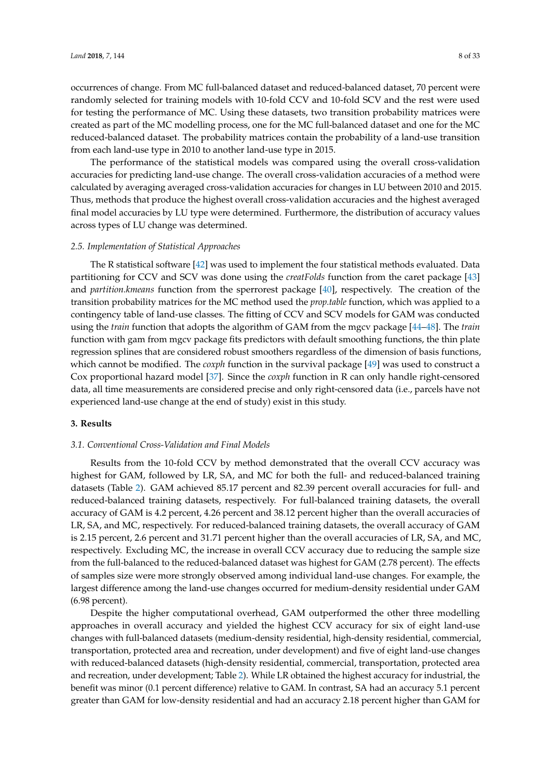occurrences of change. From MC full-balanced dataset and reduced-balanced dataset, 70 percent were randomly selected for training models with 10-fold CCV and 10-fold SCV and the rest were used for testing the performance of MC. Using these datasets, two transition probability matrices were created as part of the MC modelling process, one for the MC full-balanced dataset and one for the MC reduced-balanced dataset. The probability matrices contain the probability of a land-use transition from each land-use type in 2010 to another land-use type in 2015.

The performance of the statistical models was compared using the overall cross-validation accuracies for predicting land-use change. The overall cross-validation accuracies of a method were calculated by averaging averaged cross-validation accuracies for changes in LU between 2010 and 2015. Thus, methods that produce the highest overall cross-validation accuracies and the highest averaged final model accuracies by LU type were determined. Furthermore, the distribution of accuracy values across types of LU change was determined.

#### *2.5. Implementation of Statistical Approaches*

The R statistical software [\[42\]](#page-31-8) was used to implement the four statistical methods evaluated. Data partitioning for CCV and SCV was done using the *creatFolds* function from the caret package [\[43\]](#page-31-9) and *partition.kmeans* function from the sperrorest package [\[40\]](#page-31-6), respectively. The creation of the transition probability matrices for the MC method used the *prop.table* function, which was applied to a contingency table of land-use classes. The fitting of CCV and SCV models for GAM was conducted using the *train* function that adopts the algorithm of GAM from the mgcv package [\[44–](#page-31-10)[48\]](#page-31-11). The *train* function with gam from mgcv package fits predictors with default smoothing functions, the thin plate regression splines that are considered robust smoothers regardless of the dimension of basis functions, which cannot be modified. The *coxph* function in the survival package [\[49\]](#page-31-12) was used to construct a Cox proportional hazard model [\[37\]](#page-31-3). Since the *coxph* function in R can only handle right-censored data, all time measurements are considered precise and only right-censored data (i.e., parcels have not experienced land-use change at the end of study) exist in this study.

# **3. Results**

#### *3.1. Conventional Cross-Validation and Final Models*

Results from the 10-fold CCV by method demonstrated that the overall CCV accuracy was highest for GAM, followed by LR, SA, and MC for both the full- and reduced-balanced training datasets (Table [2\)](#page-8-0). GAM achieved 85.17 percent and 82.39 percent overall accuracies for full- and reduced-balanced training datasets, respectively. For full-balanced training datasets, the overall accuracy of GAM is 4.2 percent, 4.26 percent and 38.12 percent higher than the overall accuracies of LR, SA, and MC, respectively. For reduced-balanced training datasets, the overall accuracy of GAM is 2.15 percent, 2.6 percent and 31.71 percent higher than the overall accuracies of LR, SA, and MC, respectively. Excluding MC, the increase in overall CCV accuracy due to reducing the sample size from the full-balanced to the reduced-balanced dataset was highest for GAM (2.78 percent). The effects of samples size were more strongly observed among individual land-use changes. For example, the largest difference among the land-use changes occurred for medium-density residential under GAM (6.98 percent).

Despite the higher computational overhead, GAM outperformed the other three modelling approaches in overall accuracy and yielded the highest CCV accuracy for six of eight land-use changes with full-balanced datasets (medium-density residential, high-density residential, commercial, transportation, protected area and recreation, under development) and five of eight land-use changes with reduced-balanced datasets (high-density residential, commercial, transportation, protected area and recreation, under development; Table [2\)](#page-8-0). While LR obtained the highest accuracy for industrial, the benefit was minor (0.1 percent difference) relative to GAM. In contrast, SA had an accuracy 5.1 percent greater than GAM for low-density residential and had an accuracy 2.18 percent higher than GAM for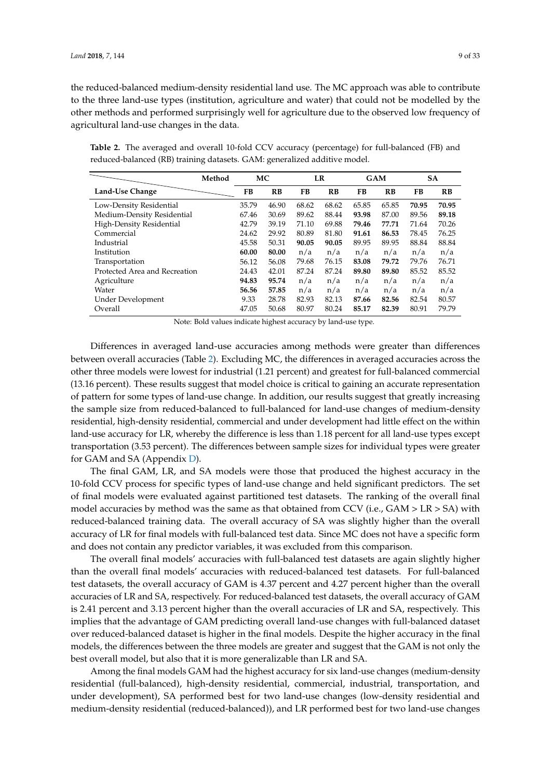the reduced-balanced medium-density residential land use. The MC approach was able to contribute to the three land-use types (institution, agriculture and water) that could not be modelled by the other methods and performed surprisingly well for agriculture due to the observed low frequency of agricultural land-use changes in the data.

|                               | Method |       | MC    |       | LR    |       | <b>GAM</b> |       | <b>SA</b> |
|-------------------------------|--------|-------|-------|-------|-------|-------|------------|-------|-----------|
| Land-Use Change               |        | FB    | RB    | FB    | RB    | FB    | $R$ $B$    | FB    | RB        |
| Low-Density Residential       |        | 35.79 | 46.90 | 68.62 | 68.62 | 65.85 | 65.85      | 70.95 | 70.95     |
| Medium-Density Residential    |        | 67.46 | 30.69 | 89.62 | 88.44 | 93.98 | 87.00      | 89.56 | 89.18     |
| High-Density Residential      |        | 42.79 | 39.19 | 71.10 | 69.88 | 79.46 | 77.71      | 71.64 | 70.26     |
| Commercial                    |        | 24.62 | 29.92 | 80.89 | 81.80 | 91.61 | 86.53      | 78.45 | 76.25     |
| Industrial                    |        | 45.58 | 50.31 | 90.05 | 90.05 | 89.95 | 89.95      | 88.84 | 88.84     |
| Institution                   |        | 60.00 | 80.00 | n/a   | n/a   | n/a   | n/a        | n/a   | n/a       |
| Transportation                |        | 56.12 | 56.08 | 79.68 | 76.15 | 83.08 | 79.72      | 79.76 | 76.71     |
| Protected Area and Recreation |        | 24.43 | 42.01 | 87.24 | 87.24 | 89.80 | 89.80      | 85.52 | 85.52     |
| Agriculture                   |        | 94.83 | 95.74 | n/a   | n/a   | n/a   | n/a        | n/a   | n/a       |
| Water                         |        | 56.56 | 57.85 | n/a   | n/a   | n/a   | n/a        | n/a   | n/a       |
| Under Development             |        | 9.33  | 28.78 | 82.93 | 82.13 | 87.66 | 82.56      | 82.54 | 80.57     |
| Overall                       |        | 47.05 | 50.68 | 80.97 | 80.24 | 85.17 | 82.39      | 80.91 | 79.79     |

<span id="page-8-0"></span>**Table 2.** The averaged and overall 10-fold CCV accuracy (percentage) for full-balanced (FB) and reduced-balanced (RB) training datasets. GAM: generalized additive model.

Note: Bold values indicate highest accuracy by land-use type.

Differences in averaged land-use accuracies among methods were greater than differences between overall accuracies (Table [2\)](#page-8-0). Excluding MC, the differences in averaged accuracies across the other three models were lowest for industrial (1.21 percent) and greatest for full-balanced commercial (13.16 percent). These results suggest that model choice is critical to gaining an accurate representation of pattern for some types of land-use change. In addition, our results suggest that greatly increasing the sample size from reduced-balanced to full-balanced for land-use changes of medium-density residential, high-density residential, commercial and under development had little effect on the within land-use accuracy for LR, whereby the difference is less than 1.18 percent for all land-use types except transportation (3.53 percent). The differences between sample sizes for individual types were greater for GAM and SA (Appendix [D\)](#page-20-0).

The final GAM, LR, and SA models were those that produced the highest accuracy in the 10-fold CCV process for specific types of land-use change and held significant predictors. The set of final models were evaluated against partitioned test datasets. The ranking of the overall final model accuracies by method was the same as that obtained from CCV (i.e.,  $GAM > LR > SA$ ) with reduced-balanced training data. The overall accuracy of SA was slightly higher than the overall accuracy of LR for final models with full-balanced test data. Since MC does not have a specific form and does not contain any predictor variables, it was excluded from this comparison.

The overall final models' accuracies with full-balanced test datasets are again slightly higher than the overall final models' accuracies with reduced-balanced test datasets. For full-balanced test datasets, the overall accuracy of GAM is 4.37 percent and 4.27 percent higher than the overall accuracies of LR and SA, respectively. For reduced-balanced test datasets, the overall accuracy of GAM is 2.41 percent and 3.13 percent higher than the overall accuracies of LR and SA, respectively. This implies that the advantage of GAM predicting overall land-use changes with full-balanced dataset over reduced-balanced dataset is higher in the final models. Despite the higher accuracy in the final models, the differences between the three models are greater and suggest that the GAM is not only the best overall model, but also that it is more generalizable than LR and SA.

Among the final models GAM had the highest accuracy for six land-use changes (medium-density residential (full-balanced), high-density residential, commercial, industrial, transportation, and under development), SA performed best for two land-use changes (low-density residential and medium-density residential (reduced-balanced)), and LR performed best for two land-use changes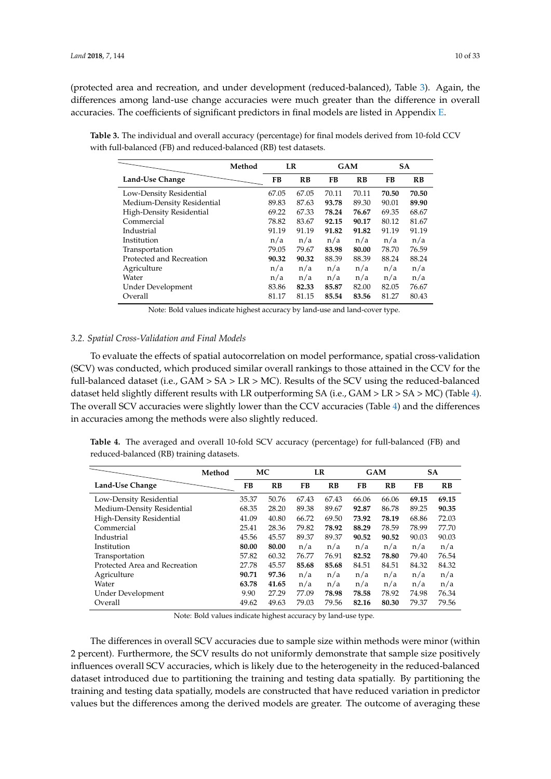(protected area and recreation, and under development (reduced-balanced), Table [3\)](#page-9-0). Again, the differences among land-use change accuracies were much greater than the difference in overall accuracies. The coefficients of significant predictors in final models are listed in Appendix [E.](#page-21-0)

|                            | Method | LR    |       | GAM   |       |       | <b>SA</b> |
|----------------------------|--------|-------|-------|-------|-------|-------|-----------|
| Land-Use Change            |        | FB    | RB    | FB    | RB    | FB    | RB        |
| Low-Density Residential    |        | 67.05 | 67.05 | 70.11 | 70.11 | 70.50 | 70.50     |
| Medium-Density Residential |        | 89.83 | 87.63 | 93.78 | 89.30 | 90.01 | 89.90     |
| High-Density Residential   |        | 69.22 | 67.33 | 78.24 | 76.67 | 69.35 | 68.67     |
| Commercial                 |        | 78.82 | 83.67 | 92.15 | 90.17 | 80.12 | 81.67     |
| Industrial                 |        | 91.19 | 91.19 | 91.82 | 91.82 | 91.19 | 91.19     |
| Institution                |        | n/a   | n/a   | n/a   | n/a   | n/a   | n/a       |
| Transportation             |        | 79.05 | 79.67 | 83.98 | 80.00 | 78.70 | 76.59     |
| Protected and Recreation   |        | 90.32 | 90.32 | 88.39 | 88.39 | 88.24 | 88.24     |
| Agriculture                |        | n/a   | n/a   | n/a   | n/a   | n/a   | n/a       |
| Water                      |        | n/a   | n/a   | n/a   | n/a   | n/a   | n/a       |
| Under Development          |        | 83.86 | 82.33 | 85.87 | 82.00 | 82.05 | 76.67     |
| Overall                    |        | 81.17 | 81.15 | 85.54 | 83.56 | 81.27 | 80.43     |

<span id="page-9-0"></span>**Table 3.** The individual and overall accuracy (percentage) for final models derived from 10-fold CCV with full-balanced (FB) and reduced-balanced (RB) test datasets.

Note: Bold values indicate highest accuracy by land-use and land-cover type.

#### *3.2. Spatial Cross-Validation and Final Models*

To evaluate the effects of spatial autocorrelation on model performance, spatial cross-validation (SCV) was conducted, which produced similar overall rankings to those attained in the CCV for the full-balanced dataset (i.e., GAM > SA > LR > MC). Results of the SCV using the reduced-balanced dataset held slightly different results with LR outperforming SA (i.e., GAM > LR > SA > MC) (Table [4\)](#page-9-1). The overall SCV accuracies were slightly lower than the CCV accuracies (Table [4\)](#page-9-1) and the differences in accuracies among the methods were also slightly reduced.

<span id="page-9-1"></span>**Table 4.** The averaged and overall 10-fold SCV accuracy (percentage) for full-balanced (FB) and reduced-balanced (RB) training datasets.

|                               | Method |       | MC    |       | LR    |       | <b>GAM</b> |       | <b>SA</b> |
|-------------------------------|--------|-------|-------|-------|-------|-------|------------|-------|-----------|
| Land-Use Change               |        | FB    | RB    | FB    | RB    | FB    | RB         | FB    | RB        |
| Low-Density Residential       |        | 35.37 | 50.76 | 67.43 | 67.43 | 66.06 | 66.06      | 69.15 | 69.15     |
| Medium-Density Residential    |        | 68.35 | 28.20 | 89.38 | 89.67 | 92.87 | 86.78      | 89.25 | 90.35     |
| High-Density Residential      |        | 41.09 | 40.80 | 66.72 | 69.50 | 73.92 | 78.19      | 68.86 | 72.03     |
| Commercial                    |        | 25.41 | 28.36 | 79.82 | 78.92 | 88.29 | 78.59      | 78.99 | 77.70     |
| Industrial                    |        | 45.56 | 45.57 | 89.37 | 89.37 | 90.52 | 90.52      | 90.03 | 90.03     |
| Institution                   |        | 80.00 | 80.00 | n/a   | n/a   | n/a   | n/a        | n/a   | n/a       |
| Transportation                |        | 57.82 | 60.32 | 76.77 | 76.91 | 82.52 | 78.80      | 79.40 | 76.54     |
| Protected Area and Recreation |        | 27.78 | 45.57 | 85.68 | 85.68 | 84.51 | 84.51      | 84.32 | 84.32     |
| Agriculture                   |        | 90.71 | 97.36 | n/a   | n/a   | n/a   | n/a        | n/a   | n/a       |
| Water                         |        | 63.78 | 41.65 | n/a   | n/a   | n/a   | n/a        | n/a   | n/a       |
| Under Development             |        | 9.90  | 27.29 | 77.09 | 78.98 | 78.58 | 78.92      | 74.98 | 76.34     |
| Overall                       |        | 49.62 | 49.63 | 79.03 | 79.56 | 82.16 | 80.30      | 79.37 | 79.56     |

Note: Bold values indicate highest accuracy by land-use type.

The differences in overall SCV accuracies due to sample size within methods were minor (within 2 percent). Furthermore, the SCV results do not uniformly demonstrate that sample size positively influences overall SCV accuracies, which is likely due to the heterogeneity in the reduced-balanced dataset introduced due to partitioning the training and testing data spatially. By partitioning the training and testing data spatially, models are constructed that have reduced variation in predictor values but the differences among the derived models are greater. The outcome of averaging these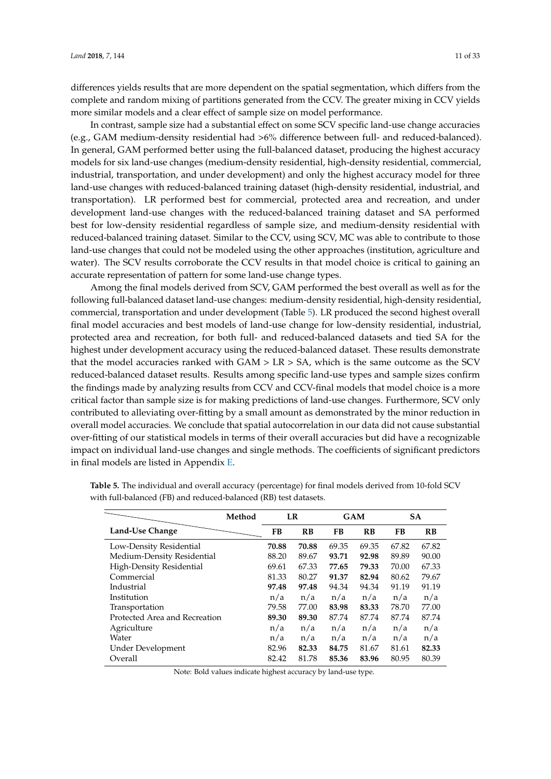differences yields results that are more dependent on the spatial segmentation, which differs from the complete and random mixing of partitions generated from the CCV. The greater mixing in CCV yields more similar models and a clear effect of sample size on model performance.

In contrast, sample size had a substantial effect on some SCV specific land-use change accuracies (e.g., GAM medium-density residential had >6% difference between full- and reduced-balanced). In general, GAM performed better using the full-balanced dataset, producing the highest accuracy models for six land-use changes (medium-density residential, high-density residential, commercial, industrial, transportation, and under development) and only the highest accuracy model for three land-use changes with reduced-balanced training dataset (high-density residential, industrial, and transportation). LR performed best for commercial, protected area and recreation, and under development land-use changes with the reduced-balanced training dataset and SA performed best for low-density residential regardless of sample size, and medium-density residential with reduced-balanced training dataset. Similar to the CCV, using SCV, MC was able to contribute to those land-use changes that could not be modeled using the other approaches (institution, agriculture and water). The SCV results corroborate the CCV results in that model choice is critical to gaining an accurate representation of pattern for some land-use change types.

Among the final models derived from SCV, GAM performed the best overall as well as for the following full-balanced dataset land-use changes: medium-density residential, high-density residential, commercial, transportation and under development (Table [5\)](#page-10-0). LR produced the second highest overall final model accuracies and best models of land-use change for low-density residential, industrial, protected area and recreation, for both full- and reduced-balanced datasets and tied SA for the highest under development accuracy using the reduced-balanced dataset. These results demonstrate that the model accuracies ranked with  $GAM > LR > SA$ , which is the same outcome as the SCV reduced-balanced dataset results. Results among specific land-use types and sample sizes confirm the findings made by analyzing results from CCV and CCV-final models that model choice is a more critical factor than sample size is for making predictions of land-use changes. Furthermore, SCV only contributed to alleviating over-fitting by a small amount as demonstrated by the minor reduction in overall model accuracies. We conclude that spatial autocorrelation in our data did not cause substantial over-fitting of our statistical models in terms of their overall accuracies but did have a recognizable impact on individual land-use changes and single methods. The coefficients of significant predictors in final models are listed in Appendix [E.](#page-21-0)

|                               | Method |       | <b>LR</b> |           | <b>GAM</b> | <b>SA</b> |       |
|-------------------------------|--------|-------|-----------|-----------|------------|-----------|-------|
| Land-Use Change               |        | FB    | RB        | <b>FB</b> | RB         | <b>FB</b> | RB    |
| Low-Density Residential       |        | 70.88 | 70.88     | 69.35     | 69.35      | 67.82     | 67.82 |
| Medium-Density Residential    |        | 88.20 | 89.67     | 93.71     | 92.98      | 89.89     | 90.00 |
| High-Density Residential      |        | 69.61 | 67.33     | 77.65     | 79.33      | 70.00     | 67.33 |
| Commercial                    |        | 81.33 | 80.27     | 91.37     | 82.94      | 80.62     | 79.67 |
| Industrial                    |        | 97.48 | 97.48     | 94.34     | 94.34      | 91.19     | 91.19 |
| Institution                   |        | n/a   | n/a       | n/a       | n/a        | n/a       | n/a   |
| Transportation                |        | 79.58 | 77.00     | 83.98     | 83.33      | 78.70     | 77.00 |
| Protected Area and Recreation |        | 89.30 | 89.30     | 87.74     | 87.74      | 87.74     | 87.74 |
| Agriculture                   |        | n/a   | n/a       | n/a       | n/a        | n/a       | n/a   |
| Water                         |        | n/a   | n/a       | n/a       | n/a        | n/a       | n/a   |
| Under Development             |        | 82.96 | 82.33     | 84.75     | 81.67      | 81.61     | 82.33 |
| Overall                       |        | 82.42 | 81.78     | 85.36     | 83.96      | 80.95     | 80.39 |

<span id="page-10-0"></span>**Table 5.** The individual and overall accuracy (percentage) for final models derived from 10-fold SCV with full-balanced (FB) and reduced-balanced (RB) test datasets.

Note: Bold values indicate highest accuracy by land-use type.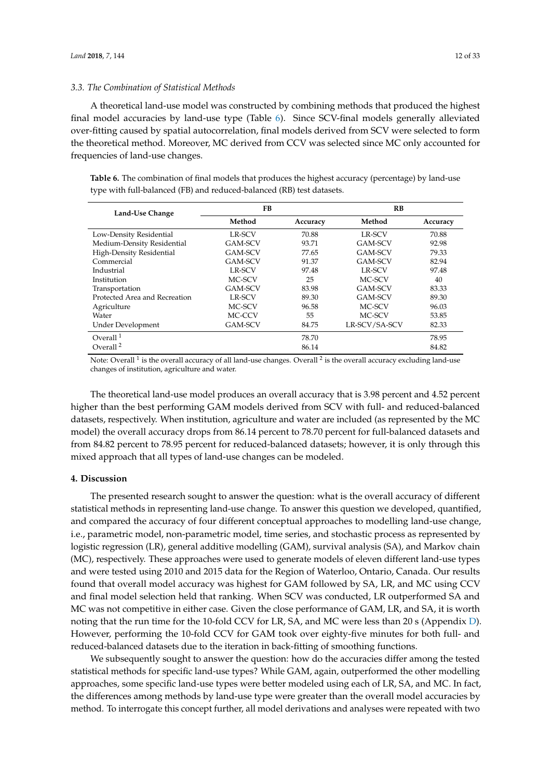#### *3.3. The Combination of Statistical Methods*

A theoretical land-use model was constructed by combining methods that produced the highest final model accuracies by land-use type (Table [6\)](#page-11-0). Since SCV-final models generally alleviated over-fitting caused by spatial autocorrelation, final models derived from SCV were selected to form the theoretical method. Moreover, MC derived from CCV was selected since MC only accounted for frequencies of land-use changes.

<span id="page-11-0"></span>**Table 6.** The combination of final models that produces the highest accuracy (percentage) by land-use type with full-balanced (FB) and reduced-balanced (RB) test datasets.

| Land-Use Change               | <b>FB</b> |          | RB            |          |
|-------------------------------|-----------|----------|---------------|----------|
|                               | Method    | Accuracy | Method        | Accuracy |
| Low-Density Residential       | LR-SCV    | 70.88    | LR-SCV        | 70.88    |
| Medium-Density Residential    | GAM-SCV   | 93.71    | GAM-SCV       | 92.98    |
| High-Density Residential      | GAM-SCV   | 77.65    | GAM-SCV       | 79.33    |
| Commercial                    | GAM-SCV   | 91.37    | GAM-SCV       | 82.94    |
| Industrial                    | LR-SCV    | 97.48    | LR-SCV        | 97.48    |
| Institution                   | MC-SCV    | 25       | MC-SCV        | 40       |
| Transportation                | GAM-SCV   | 83.98    | GAM-SCV       | 83.33    |
| Protected Area and Recreation | LR-SCV    | 89.30    | GAM-SCV       | 89.30    |
| Agriculture                   | MC-SCV    | 96.58    | MC-SCV        | 96.03    |
| Water                         | MC-CCV    | 55       | MC-SCV        | 53.85    |
| Under Development             | GAM-SCV   | 84.75    | LR-SCV/SA-SCV | 82.33    |
| Overall $1$                   |           | 78.70    |               | 78.95    |
| Overall <sup>2</sup>          |           | 86.14    |               | 84.82    |

Note: Overall  $^1$  is the overall accuracy of all land-use changes. Overall  $^2$  is the overall accuracy excluding land-use changes of institution, agriculture and water.

The theoretical land-use model produces an overall accuracy that is 3.98 percent and 4.52 percent higher than the best performing GAM models derived from SCV with full- and reduced-balanced datasets, respectively. When institution, agriculture and water are included (as represented by the MC model) the overall accuracy drops from 86.14 percent to 78.70 percent for full-balanced datasets and from 84.82 percent to 78.95 percent for reduced-balanced datasets; however, it is only through this mixed approach that all types of land-use changes can be modeled.

#### **4. Discussion**

The presented research sought to answer the question: what is the overall accuracy of different statistical methods in representing land-use change. To answer this question we developed, quantified, and compared the accuracy of four different conceptual approaches to modelling land-use change, i.e., parametric model, non-parametric model, time series, and stochastic process as represented by logistic regression (LR), general additive modelling (GAM), survival analysis (SA), and Markov chain (MC), respectively. These approaches were used to generate models of eleven different land-use types and were tested using 2010 and 2015 data for the Region of Waterloo, Ontario, Canada. Our results found that overall model accuracy was highest for GAM followed by SA, LR, and MC using CCV and final model selection held that ranking. When SCV was conducted, LR outperformed SA and MC was not competitive in either case. Given the close performance of GAM, LR, and SA, it is worth noting that the run time for the 10-fold CCV for LR, SA, and MC were less than 20 s (Appendix [D\)](#page-20-0). However, performing the 10-fold CCV for GAM took over eighty-five minutes for both full- and reduced-balanced datasets due to the iteration in back-fitting of smoothing functions.

We subsequently sought to answer the question: how do the accuracies differ among the tested statistical methods for specific land-use types? While GAM, again, outperformed the other modelling approaches, some specific land-use types were better modeled using each of LR, SA, and MC. In fact, the differences among methods by land-use type were greater than the overall model accuracies by method. To interrogate this concept further, all model derivations and analyses were repeated with two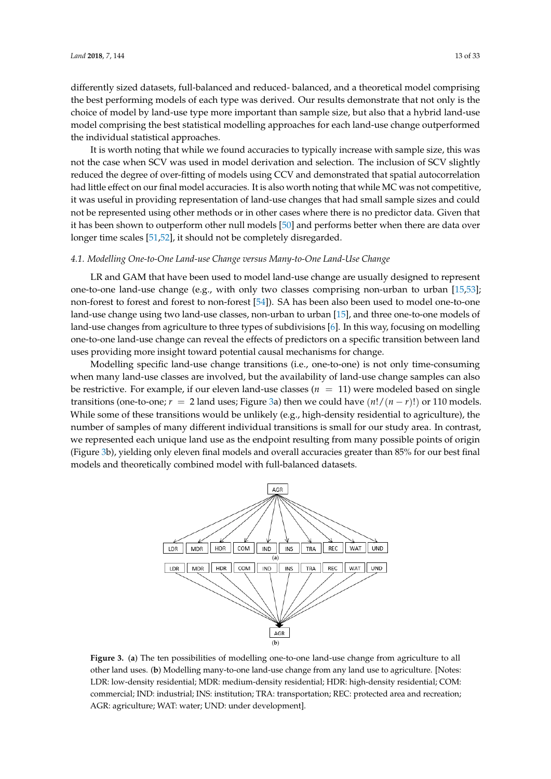differently sized datasets, full-balanced and reduced- balanced, and a theoretical model comprising the best performing models of each type was derived. Our results demonstrate that not only is the choice of model by land-use type more important than sample size, but also that a hybrid land-use model comprising the best statistical modelling approaches for each land-use change outperformed the individual statistical approaches.

It is worth noting that while we found accuracies to typically increase with sample size, this was not the case when SCV was used in model derivation and selection. The inclusion of SCV slightly reduced the degree of over-fitting of models using CCV and demonstrated that spatial autocorrelation had little effect on our final model accuracies. It is also worth noting that while MC was not competitive, it was useful in providing representation of land-use changes that had small sample sizes and could not be represented using other methods or in other cases where there is no predictor data. Given that it has been shown to outperform other null models [\[50\]](#page-31-13) and performs better when there are data over longer time scales [\[51](#page-31-14)[,52\]](#page-31-15), it should not be completely disregarded.

hybrid land-use model comprising the best statistical modelling approaches for each land-use  $\mathcal{L}$ 

#### 4.1. Modelling One-to-One Land-use Change versus Many-to-One Land-Use Change It is word and we consider which with the found and with sample size, the typical management is was a size, th

LR and GAM that have been used to model land-use change are usually designed to represent one-to-one land-use change (e.g., with only two classes comprising non-urban to urban [\[15,](#page-30-5)[53\]](#page-31-16); non-forest to forest and forest to non-forest [\[54\]](#page-31-17)). SA has been also been used to model one-to-one land-use change using two land-use classes, non-urban to urban [\[15\]](#page-30-5), and three one-to-one models of land-use changes from agriculture to three types of subdivisions [\[6\]](#page-29-5). In this way, focusing on modelling one-to-one land-use change can reveal the effects of predictors on a specific transition between land uses providing more insight toward potential causal mechanisms for change.  $\alpha$  in a matrix of degree of  $\alpha$  model fand-use change are usually design  $s$  and forest to holi-forest  $[04]$ ). SA has been also been used to fit

Modelling specific land-use change transitions (i.e., one-to-one) is not only time-consuming when many land-use classes are involved, but the availability of land-use change samples can also be restrictive. For example, if our eleven land-use classes  $(n = 11)$  were modeled based on single transitions (one-to-one;  $r = 2$  land uses; Figure [3a](#page-12-0)) then we could have  $(n!/(n-r)!)$  or 110 models. While some of these transitions would be unlikely (e.g., high-density residential to agriculture), the number of samples of many different individual transitions is small for our study area. In contrast, we represented each unique land use as the endpoint resulting from many possible points of origin (Figure [3b](#page-12-0)), yielding only eleven final models and overall accuracies greater than 85% for our best final models and theoretically combined model with full-balanced datasets. specific fano-ase change transmons (i.e., one-to-one) is not only to  $\delta$  cause the value of the more insight to  $\mu$  to change.  $\log$  restrictive would be unifiely  $(c.g.,$  high density residential to a and the number of the number of the study  $\frac{1}{2}$  is small for our study  $\frac{1}{2}$  for our study area. In  $\overline{\phantom{a}}$ 

<span id="page-12-0"></span>

Figure 3. (a) The ten possibilities of modelling one-to-one land-use change from agriculture to all other land uses. (**b**) Modelling many-to-one land-use change from any land use to agriculture. other land uses. (**b**) Modelling many-to-one land-use change from any land use to agriculture. [Notes: LDR: low-density residential; MDR: medium-density residential; HDR: high-density residential; COM: commercial; IND: industrial; INS: institution; TRA: transportation; REC: protected area and recreation; AGR: agriculture; WAT: water; UND: under development].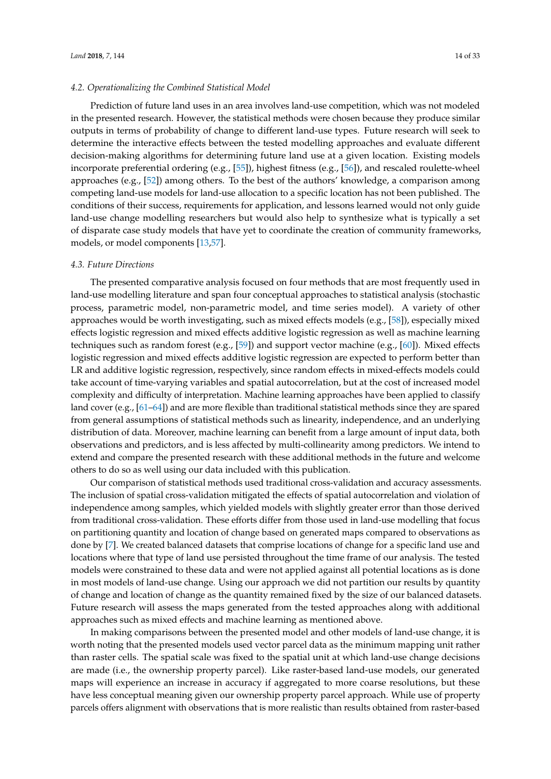#### *4.2. Operationalizing the Combined Statistical Model*

Prediction of future land uses in an area involves land-use competition, which was not modeled in the presented research. However, the statistical methods were chosen because they produce similar outputs in terms of probability of change to different land-use types. Future research will seek to determine the interactive effects between the tested modelling approaches and evaluate different decision-making algorithms for determining future land use at a given location. Existing models incorporate preferential ordering (e.g., [\[55\]](#page-31-18)), highest fitness (e.g., [\[56\]](#page-31-19)), and rescaled roulette-wheel approaches (e.g., [\[52\]](#page-31-15)) among others. To the best of the authors' knowledge, a comparison among competing land-use models for land-use allocation to a specific location has not been published. The conditions of their success, requirements for application, and lessons learned would not only guide land-use change modelling researchers but would also help to synthesize what is typically a set of disparate case study models that have yet to coordinate the creation of community frameworks, models, or model components [\[13](#page-30-3)[,57\]](#page-31-20).

#### *4.3. Future Directions*

The presented comparative analysis focused on four methods that are most frequently used in land-use modelling literature and span four conceptual approaches to statistical analysis (stochastic process, parametric model, non-parametric model, and time series model). A variety of other approaches would be worth investigating, such as mixed effects models (e.g., [\[58\]](#page-31-21)), especially mixed effects logistic regression and mixed effects additive logistic regression as well as machine learning techniques such as random forest (e.g., [\[59\]](#page-31-22)) and support vector machine (e.g., [\[60\]](#page-31-23)). Mixed effects logistic regression and mixed effects additive logistic regression are expected to perform better than LR and additive logistic regression, respectively, since random effects in mixed-effects models could take account of time-varying variables and spatial autocorrelation, but at the cost of increased model complexity and difficulty of interpretation. Machine learning approaches have been applied to classify land cover (e.g., [\[61](#page-32-0)[–64\]](#page-32-1)) and are more flexible than traditional statistical methods since they are spared from general assumptions of statistical methods such as linearity, independence, and an underlying distribution of data. Moreover, machine learning can benefit from a large amount of input data, both observations and predictors, and is less affected by multi-collinearity among predictors. We intend to extend and compare the presented research with these additional methods in the future and welcome others to do so as well using our data included with this publication.

Our comparison of statistical methods used traditional cross-validation and accuracy assessments. The inclusion of spatial cross-validation mitigated the effects of spatial autocorrelation and violation of independence among samples, which yielded models with slightly greater error than those derived from traditional cross-validation. These efforts differ from those used in land-use modelling that focus on partitioning quantity and location of change based on generated maps compared to observations as done by [\[7\]](#page-29-6). We created balanced datasets that comprise locations of change for a specific land use and locations where that type of land use persisted throughout the time frame of our analysis. The tested models were constrained to these data and were not applied against all potential locations as is done in most models of land-use change. Using our approach we did not partition our results by quantity of change and location of change as the quantity remained fixed by the size of our balanced datasets. Future research will assess the maps generated from the tested approaches along with additional approaches such as mixed effects and machine learning as mentioned above.

In making comparisons between the presented model and other models of land-use change, it is worth noting that the presented models used vector parcel data as the minimum mapping unit rather than raster cells. The spatial scale was fixed to the spatial unit at which land-use change decisions are made (i.e., the ownership property parcel). Like raster-based land-use models, our generated maps will experience an increase in accuracy if aggregated to more coarse resolutions, but these have less conceptual meaning given our ownership property parcel approach. While use of property parcels offers alignment with observations that is more realistic than results obtained from raster-based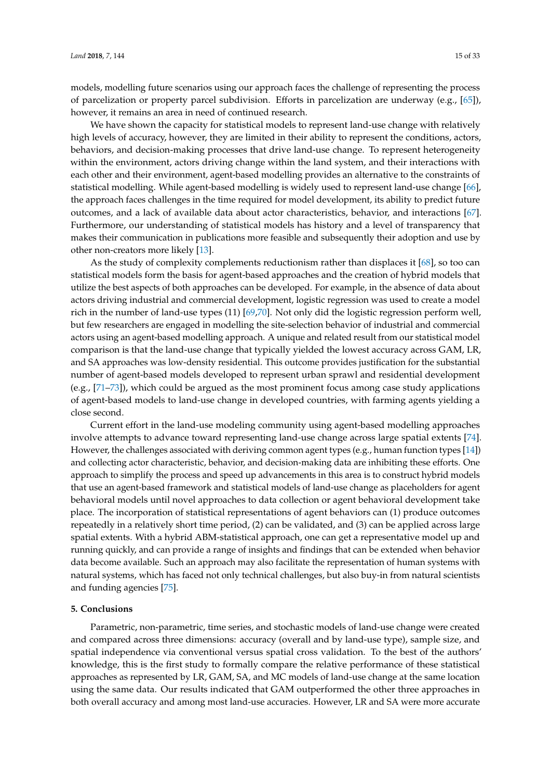models, modelling future scenarios using our approach faces the challenge of representing the process of parcelization or property parcel subdivision. Efforts in parcelization are underway (e.g., [\[65\]](#page-32-2)), however, it remains an area in need of continued research.

We have shown the capacity for statistical models to represent land-use change with relatively high levels of accuracy, however, they are limited in their ability to represent the conditions, actors, behaviors, and decision-making processes that drive land-use change. To represent heterogeneity within the environment, actors driving change within the land system, and their interactions with each other and their environment, agent-based modelling provides an alternative to the constraints of statistical modelling. While agent-based modelling is widely used to represent land-use change [\[66\]](#page-32-3), the approach faces challenges in the time required for model development, its ability to predict future outcomes, and a lack of available data about actor characteristics, behavior, and interactions [\[67\]](#page-32-4). Furthermore, our understanding of statistical models has history and a level of transparency that makes their communication in publications more feasible and subsequently their adoption and use by other non-creators more likely [\[13\]](#page-30-3).

As the study of complexity complements reductionism rather than displaces it [\[68\]](#page-32-5), so too can statistical models form the basis for agent-based approaches and the creation of hybrid models that utilize the best aspects of both approaches can be developed. For example, in the absence of data about actors driving industrial and commercial development, logistic regression was used to create a model rich in the number of land-use types (11) [\[69](#page-32-6)[,70\]](#page-32-7). Not only did the logistic regression perform well, but few researchers are engaged in modelling the site-selection behavior of industrial and commercial actors using an agent-based modelling approach. A unique and related result from our statistical model comparison is that the land-use change that typically yielded the lowest accuracy across GAM, LR, and SA approaches was low-density residential. This outcome provides justification for the substantial number of agent-based models developed to represent urban sprawl and residential development (e.g., [\[71](#page-32-8)[–73\]](#page-32-9)), which could be argued as the most prominent focus among case study applications of agent-based models to land-use change in developed countries, with farming agents yielding a close second.

Current effort in the land-use modeling community using agent-based modelling approaches involve attempts to advance toward representing land-use change across large spatial extents [\[74\]](#page-32-10). However, the challenges associated with deriving common agent types (e.g., human function types [\[14\]](#page-30-4)) and collecting actor characteristic, behavior, and decision-making data are inhibiting these efforts. One approach to simplify the process and speed up advancements in this area is to construct hybrid models that use an agent-based framework and statistical models of land-use change as placeholders for agent behavioral models until novel approaches to data collection or agent behavioral development take place. The incorporation of statistical representations of agent behaviors can (1) produce outcomes repeatedly in a relatively short time period, (2) can be validated, and (3) can be applied across large spatial extents. With a hybrid ABM-statistical approach, one can get a representative model up and running quickly, and can provide a range of insights and findings that can be extended when behavior data become available. Such an approach may also facilitate the representation of human systems with natural systems, which has faced not only technical challenges, but also buy-in from natural scientists and funding agencies [\[75\]](#page-32-11).

#### **5. Conclusions**

Parametric, non-parametric, time series, and stochastic models of land-use change were created and compared across three dimensions: accuracy (overall and by land-use type), sample size, and spatial independence via conventional versus spatial cross validation. To the best of the authors' knowledge, this is the first study to formally compare the relative performance of these statistical approaches as represented by LR, GAM, SA, and MC models of land-use change at the same location using the same data. Our results indicated that GAM outperformed the other three approaches in both overall accuracy and among most land-use accuracies. However, LR and SA were more accurate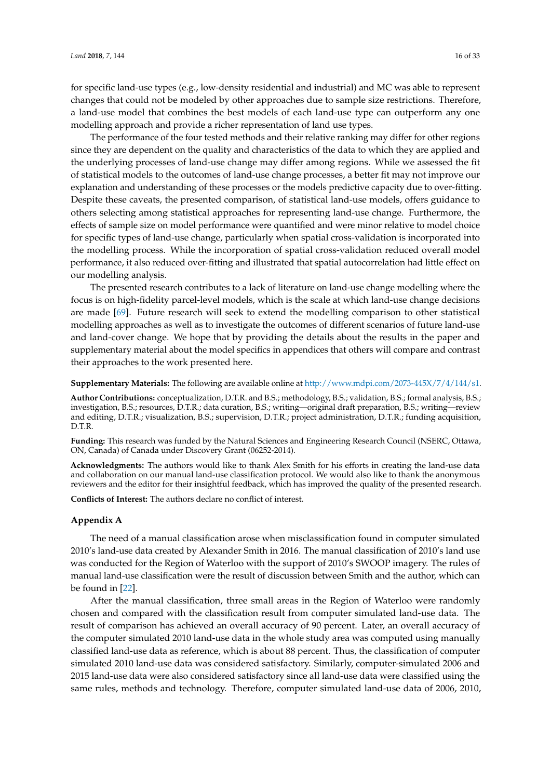for specific land-use types (e.g., low-density residential and industrial) and MC was able to represent changes that could not be modeled by other approaches due to sample size restrictions. Therefore, a land-use model that combines the best models of each land-use type can outperform any one modelling approach and provide a richer representation of land use types.

The performance of the four tested methods and their relative ranking may differ for other regions since they are dependent on the quality and characteristics of the data to which they are applied and the underlying processes of land-use change may differ among regions. While we assessed the fit of statistical models to the outcomes of land-use change processes, a better fit may not improve our explanation and understanding of these processes or the models predictive capacity due to over-fitting. Despite these caveats, the presented comparison, of statistical land-use models, offers guidance to others selecting among statistical approaches for representing land-use change. Furthermore, the effects of sample size on model performance were quantified and were minor relative to model choice for specific types of land-use change, particularly when spatial cross-validation is incorporated into the modelling process. While the incorporation of spatial cross-validation reduced overall model performance, it also reduced over-fitting and illustrated that spatial autocorrelation had little effect on our modelling analysis.

The presented research contributes to a lack of literature on land-use change modelling where the focus is on high-fidelity parcel-level models, which is the scale at which land-use change decisions are made [\[69\]](#page-32-6). Future research will seek to extend the modelling comparison to other statistical modelling approaches as well as to investigate the outcomes of different scenarios of future land-use and land-cover change. We hope that by providing the details about the results in the paper and supplementary material about the model specifics in appendices that others will compare and contrast their approaches to the work presented here.

#### **Supplementary Materials:** The following are available online at [http://www.mdpi.com/2073-445X/7/4/144/s1.](http://www.mdpi.com/2073-445X/7/4/144/s1)

**Author Contributions:** conceptualization, D.T.R. and B.S.; methodology, B.S.; validation, B.S.; formal analysis, B.S.; investigation, B.S.; resources, D.T.R.; data curation, B.S.; writing—original draft preparation, B.S.; writing—review and editing, D.T.R.; visualization, B.S.; supervision, D.T.R.; project administration, D.T.R.; funding acquisition, D.T.R.

**Funding:** This research was funded by the Natural Sciences and Engineering Research Council (NSERC, Ottawa, ON, Canada) of Canada under Discovery Grant (06252-2014).

**Acknowledgments:** The authors would like to thank Alex Smith for his efforts in creating the land-use data and collaboration on our manual land-use classification protocol. We would also like to thank the anonymous reviewers and the editor for their insightful feedback, which has improved the quality of the presented research.

**Conflicts of Interest:** The authors declare no conflict of interest.

#### <span id="page-15-0"></span>**Appendix A**

The need of a manual classification arose when misclassification found in computer simulated 2010's land-use data created by Alexander Smith in 2016. The manual classification of 2010's land use was conducted for the Region of Waterloo with the support of 2010's SWOOP imagery. The rules of manual land-use classification were the result of discussion between Smith and the author, which can be found in [\[22\]](#page-30-12).

After the manual classification, three small areas in the Region of Waterloo were randomly chosen and compared with the classification result from computer simulated land-use data. The result of comparison has achieved an overall accuracy of 90 percent. Later, an overall accuracy of the computer simulated 2010 land-use data in the whole study area was computed using manually classified land-use data as reference, which is about 88 percent. Thus, the classification of computer simulated 2010 land-use data was considered satisfactory. Similarly, computer-simulated 2006 and 2015 land-use data were also considered satisfactory since all land-use data were classified using the same rules, methods and technology. Therefore, computer simulated land-use data of 2006, 2010,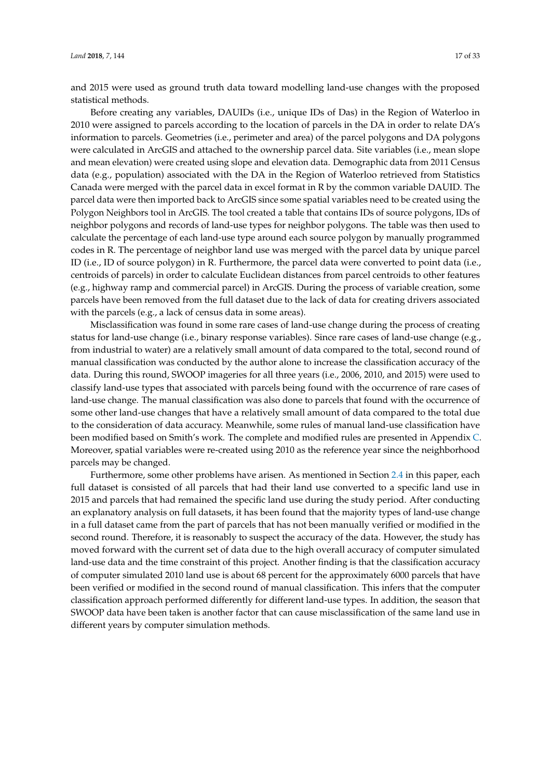and 2015 were used as ground truth data toward modelling land-use changes with the proposed statistical methods.

Before creating any variables, DAUIDs (i.e., unique IDs of Das) in the Region of Waterloo in 2010 were assigned to parcels according to the location of parcels in the DA in order to relate DA's information to parcels. Geometries (i.e., perimeter and area) of the parcel polygons and DA polygons were calculated in ArcGIS and attached to the ownership parcel data. Site variables (i.e., mean slope and mean elevation) were created using slope and elevation data. Demographic data from 2011 Census data (e.g., population) associated with the DA in the Region of Waterloo retrieved from Statistics Canada were merged with the parcel data in excel format in R by the common variable DAUID. The parcel data were then imported back to ArcGIS since some spatial variables need to be created using the Polygon Neighbors tool in ArcGIS. The tool created a table that contains IDs of source polygons, IDs of neighbor polygons and records of land-use types for neighbor polygons. The table was then used to calculate the percentage of each land-use type around each source polygon by manually programmed codes in R. The percentage of neighbor land use was merged with the parcel data by unique parcel ID (i.e., ID of source polygon) in R. Furthermore, the parcel data were converted to point data (i.e., centroids of parcels) in order to calculate Euclidean distances from parcel centroids to other features (e.g., highway ramp and commercial parcel) in ArcGIS. During the process of variable creation, some parcels have been removed from the full dataset due to the lack of data for creating drivers associated with the parcels (e.g., a lack of census data in some areas).

Misclassification was found in some rare cases of land-use change during the process of creating status for land-use change (i.e., binary response variables). Since rare cases of land-use change (e.g., from industrial to water) are a relatively small amount of data compared to the total, second round of manual classification was conducted by the author alone to increase the classification accuracy of the data. During this round, SWOOP imageries for all three years (i.e., 2006, 2010, and 2015) were used to classify land-use types that associated with parcels being found with the occurrence of rare cases of land-use change. The manual classification was also done to parcels that found with the occurrence of some other land-use changes that have a relatively small amount of data compared to the total due to the consideration of data accuracy. Meanwhile, some rules of manual land-use classification have been modified based on Smith's work. The complete and modified rules are presented in Appendix [C.](#page-17-1) Moreover, spatial variables were re-created using 2010 as the reference year since the neighborhood parcels may be changed.

Furthermore, some other problems have arisen. As mentioned in Section [2.4](#page-5-1) in this paper, each full dataset is consisted of all parcels that had their land use converted to a specific land use in 2015 and parcels that had remained the specific land use during the study period. After conducting an explanatory analysis on full datasets, it has been found that the majority types of land-use change in a full dataset came from the part of parcels that has not been manually verified or modified in the second round. Therefore, it is reasonably to suspect the accuracy of the data. However, the study has moved forward with the current set of data due to the high overall accuracy of computer simulated land-use data and the time constraint of this project. Another finding is that the classification accuracy of computer simulated 2010 land use is about 68 percent for the approximately 6000 parcels that have been verified or modified in the second round of manual classification. This infers that the computer classification approach performed differently for different land-use types. In addition, the season that SWOOP data have been taken is another factor that can cause misclassification of the same land use in different years by computer simulation methods.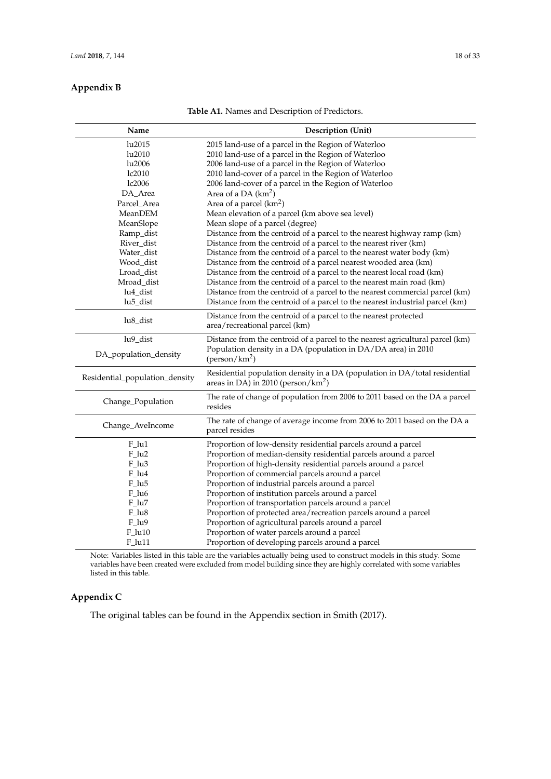# <span id="page-17-0"></span>**Appendix B**

**Table A1.** Names and Description of Predictors.

| Name                           | <b>Description (Unit)</b>                                                                                            |
|--------------------------------|----------------------------------------------------------------------------------------------------------------------|
| lu2015                         | 2015 land-use of a parcel in the Region of Waterloo                                                                  |
| lu2010                         | 2010 land-use of a parcel in the Region of Waterloo                                                                  |
| lu2006                         | 2006 land-use of a parcel in the Region of Waterloo                                                                  |
| lc2010                         | 2010 land-cover of a parcel in the Region of Waterloo                                                                |
| lc2006                         | 2006 land-cover of a parcel in the Region of Waterloo                                                                |
| DA_Area                        | Area of a DA $(km^2)$                                                                                                |
| Parcel_Area                    | Area of a parcel $(km2)$                                                                                             |
| MeanDEM                        | Mean elevation of a parcel (km above sea level)                                                                      |
| MeanSlope                      | Mean slope of a parcel (degree)                                                                                      |
| Ramp_dist                      | Distance from the centroid of a parcel to the nearest highway ramp (km)                                              |
| River_dist                     | Distance from the centroid of a parcel to the nearest river (km)                                                     |
| Water_dist                     | Distance from the centroid of a parcel to the nearest water body (km)                                                |
| Wood_dist                      | Distance from the centroid of a parcel nearest wooded area (km)                                                      |
| Lroad_dist                     | Distance from the centroid of a parcel to the nearest local road (km)                                                |
| Mroad_dist                     | Distance from the centroid of a parcel to the nearest main road (km)                                                 |
| lu4_dist                       | Distance from the centroid of a parcel to the nearest commercial parcel (km)                                         |
| lu5_dist                       | Distance from the centroid of a parcel to the nearest industrial parcel (km)                                         |
| lu8_dist                       | Distance from the centroid of a parcel to the nearest protected<br>area/recreational parcel (km)                     |
| lu9_dist                       | Distance from the centroid of a parcel to the nearest agricultural parcel (km)                                       |
| DA_population_density          | Population density in a DA (population in DA/DA area) in 2010<br>(person/km <sup>2</sup> )                           |
| Residential_population_density | Residential population density in a DA (population in DA/total residential<br>areas in DA) in 2010 (person/ $km^2$ ) |
| Change_Population              | The rate of change of population from 2006 to 2011 based on the DA a parcel<br>resides                               |
| Change_AveIncome               | The rate of change of average income from 2006 to 2011 based on the DA a<br>parcel resides                           |
| $F_l$ lu1                      | Proportion of low-density residential parcels around a parcel                                                        |
| $F_{ll}$                       | Proportion of median-density residential parcels around a parcel                                                     |
| F_lu3                          | Proportion of high-density residential parcels around a parcel                                                       |
| F_lu4                          | Proportion of commercial parcels around a parcel                                                                     |
| F_lu5                          | Proportion of industrial parcels around a parcel                                                                     |
| $F_{ll}$ lu6                   | Proportion of institution parcels around a parcel                                                                    |
| $F_l$ lu $\bar{Z}$             | Proportion of transportation parcels around a parcel                                                                 |
| F_lu8                          | Proportion of protected area/recreation parcels around a parcel                                                      |
| $F_{ll}$                       | Proportion of agricultural parcels around a parcel                                                                   |
| $F_l$ lu10                     | Proportion of water parcels around a parcel                                                                          |
| $F_l$ lu11                     | Proportion of developing parcels around a parcel                                                                     |

Note: Variables listed in this table are the variables actually being used to construct models in this study. Some variables have been created were excluded from model building since they are highly correlated with some variables listed in this table.

# <span id="page-17-1"></span>**Appendix C**

The original tables can be found in the Appendix section in Smith (2017).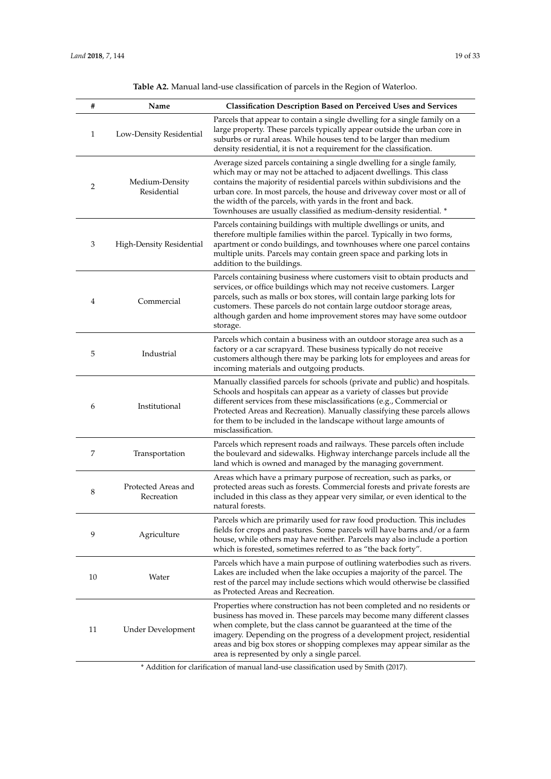| #            | Name                              | <b>Classification Description Based on Perceived Uses and Services</b>                                                                                                                                                                                                                                                                                                                                                                     |
|--------------|-----------------------------------|--------------------------------------------------------------------------------------------------------------------------------------------------------------------------------------------------------------------------------------------------------------------------------------------------------------------------------------------------------------------------------------------------------------------------------------------|
| $\mathbf{1}$ | Low-Density Residential           | Parcels that appear to contain a single dwelling for a single family on a<br>large property. These parcels typically appear outside the urban core in<br>suburbs or rural areas. While houses tend to be larger than medium<br>density residential, it is not a requirement for the classification.                                                                                                                                        |
| 2            | Medium-Density<br>Residential     | Average sized parcels containing a single dwelling for a single family,<br>which may or may not be attached to adjacent dwellings. This class<br>contains the majority of residential parcels within subdivisions and the<br>urban core. In most parcels, the house and driveway cover most or all of<br>the width of the parcels, with yards in the front and back.<br>Townhouses are usually classified as medium-density residential. * |
| 3            | High-Density Residential          | Parcels containing buildings with multiple dwellings or units, and<br>therefore multiple families within the parcel. Typically in two forms,<br>apartment or condo buildings, and townhouses where one parcel contains<br>multiple units. Parcels may contain green space and parking lots in<br>addition to the buildings.                                                                                                                |
| 4            | Commercial                        | Parcels containing business where customers visit to obtain products and<br>services, or office buildings which may not receive customers. Larger<br>parcels, such as malls or box stores, will contain large parking lots for<br>customers. These parcels do not contain large outdoor storage areas,<br>although garden and home improvement stores may have some outdoor<br>storage.                                                    |
| 5            | Industrial                        | Parcels which contain a business with an outdoor storage area such as a<br>factory or a car scrapyard. These business typically do not receive<br>customers although there may be parking lots for employees and areas for<br>incoming materials and outgoing products.                                                                                                                                                                    |
| 6            | Institutional                     | Manually classified parcels for schools (private and public) and hospitals.<br>Schools and hospitals can appear as a variety of classes but provide<br>different services from these misclassifications (e.g., Commercial or<br>Protected Areas and Recreation). Manually classifying these parcels allows<br>for them to be included in the landscape without large amounts of<br>misclassification.                                      |
| 7            | Transportation                    | Parcels which represent roads and railways. These parcels often include<br>the boulevard and sidewalks. Highway interchange parcels include all the<br>land which is owned and managed by the managing government.                                                                                                                                                                                                                         |
| 8            | Protected Areas and<br>Recreation | Areas which have a primary purpose of recreation, such as parks, or<br>protected areas such as forests. Commercial forests and private forests are<br>included in this class as they appear very similar, or even identical to the<br>natural forests.                                                                                                                                                                                     |
| 9            | Agriculture                       | Parcels which are primarily used for raw food production. This includes<br>fields for crops and pastures. Some parcels will have barns and/or a farm<br>house, while others may have neither. Parcels may also include a portion<br>which is forested, sometimes referred to as "the back forty".                                                                                                                                          |
| 10           | Water                             | Parcels which have a main purpose of outlining waterbodies such as rivers.<br>Lakes are included when the lake occupies a majority of the parcel. The<br>rest of the parcel may include sections which would otherwise be classified<br>as Protected Areas and Recreation.                                                                                                                                                                 |
| 11           | Under Development                 | Properties where construction has not been completed and no residents or<br>business has moved in. These parcels may become many different classes<br>when complete, but the class cannot be guaranteed at the time of the<br>imagery. Depending on the progress of a development project, residential<br>areas and big box stores or shopping complexes may appear similar as the<br>area is represented by only a single parcel.         |

**Table A2.** Manual land-use classification of parcels in the Region of Waterloo.

\* Addition for clarification of manual land-use classification used by Smith (2017).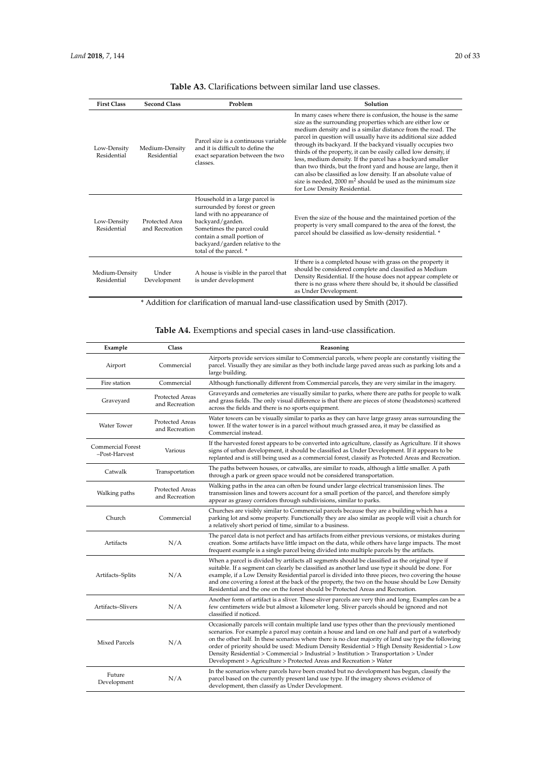| <b>Table A3.</b> Clarifications between similar land use classes. |
|-------------------------------------------------------------------|
|-------------------------------------------------------------------|

| <b>First Class</b>                                                                   | <b>Second Class</b>              | Problem                                                                                                                                                                                                                                    | Solution                                                                                                                                                                                                                                                                                                                                                                                                                                                                                                                                                                                                                                                                                                    |  |
|--------------------------------------------------------------------------------------|----------------------------------|--------------------------------------------------------------------------------------------------------------------------------------------------------------------------------------------------------------------------------------------|-------------------------------------------------------------------------------------------------------------------------------------------------------------------------------------------------------------------------------------------------------------------------------------------------------------------------------------------------------------------------------------------------------------------------------------------------------------------------------------------------------------------------------------------------------------------------------------------------------------------------------------------------------------------------------------------------------------|--|
| Low-Density<br>Residential                                                           | Medium-Density<br>Residential    | Parcel size is a continuous variable<br>and it is difficult to define the<br>exact separation between the two<br>classes.                                                                                                                  | In many cases where there is confusion, the house is the same<br>size as the surrounding properties which are either low or<br>medium density and is a similar distance from the road. The<br>parcel in question will usually have its additional size added<br>through its backyard. If the backyard visually occupies two<br>thirds of the property, it can be easily called low density, if<br>less, medium density. If the parcel has a backyard smaller<br>than two thirds, but the front yard and house are large, then it<br>can also be classified as low density. If an absolute value of<br>size is needed, $2000 \text{ m}^2$ should be used as the minimum size<br>for Low Density Residential. |  |
| Low-Density<br>Residential                                                           | Protected Area<br>and Recreation | Household in a large parcel is<br>surrounded by forest or green<br>land with no appearance of<br>backyard/garden.<br>Sometimes the parcel could<br>contain a small portion of<br>backyard/garden relative to the<br>total of the parcel. * | Even the size of the house and the maintained portion of the<br>property is very small compared to the area of the forest, the<br>parcel should be classified as low-density residential. *                                                                                                                                                                                                                                                                                                                                                                                                                                                                                                                 |  |
| Medium-Density<br>Residential                                                        | Under<br>Development             | A house is visible in the parcel that<br>is under development                                                                                                                                                                              | If there is a completed house with grass on the property it<br>should be considered complete and classified as Medium<br>Density Residential. If the house does not appear complete or<br>there is no grass where there should be, it should be classified<br>as Under Development.                                                                                                                                                                                                                                                                                                                                                                                                                         |  |
| * Addition for clarification of manual land-use classification used by Smith (2017). |                                  |                                                                                                                                                                                                                                            |                                                                                                                                                                                                                                                                                                                                                                                                                                                                                                                                                                                                                                                                                                             |  |

| Table A4. Exemptions and special cases in land-use classification. |
|--------------------------------------------------------------------|
|--------------------------------------------------------------------|

| Example                            | Class                             | Reasoning                                                                                                                                                                                                                                                                                                                                                                                                                                                                                                                                                                 |
|------------------------------------|-----------------------------------|---------------------------------------------------------------------------------------------------------------------------------------------------------------------------------------------------------------------------------------------------------------------------------------------------------------------------------------------------------------------------------------------------------------------------------------------------------------------------------------------------------------------------------------------------------------------------|
| Airport                            | Commercial                        | Airports provide services similar to Commercial parcels, where people are constantly visiting the<br>parcel. Visually they are similar as they both include large paved areas such as parking lots and a<br>large building.                                                                                                                                                                                                                                                                                                                                               |
| Fire station                       | Commercial                        | Although functionally different from Commercial parcels, they are very similar in the imagery.                                                                                                                                                                                                                                                                                                                                                                                                                                                                            |
| Graveyard                          | Protected Areas<br>and Recreation | Graveyards and cemeteries are visually similar to parks, where there are paths for people to walk<br>and grass fields. The only visual difference is that there are pieces of stone (headstones) scattered<br>across the fields and there is no sports equipment.                                                                                                                                                                                                                                                                                                         |
| <b>Water Tower</b>                 | Protected Areas<br>and Recreation | Water towers can be visually similar to parks as they can have large grassy areas surrounding the<br>tower. If the water tower is in a parcel without much grassed area, it may be classified as<br>Commercial instead.                                                                                                                                                                                                                                                                                                                                                   |
| Commercial Forest<br>-Post-Harvest | Various                           | If the harvested forest appears to be converted into agriculture, classify as Agriculture. If it shows<br>signs of urban development, it should be classified as Under Development. If it appears to be<br>replanted and is still being used as a commercial forest, classify as Protected Areas and Recreation.                                                                                                                                                                                                                                                          |
| Catwalk                            | Transportation                    | The paths between houses, or catwalks, are similar to roads, although a little smaller. A path<br>through a park or green space would not be considered transportation.                                                                                                                                                                                                                                                                                                                                                                                                   |
| Walking paths                      | Protected Areas<br>and Recreation | Walking paths in the area can often be found under large electrical transmission lines. The<br>transmission lines and towers account for a small portion of the parcel, and therefore simply<br>appear as grassy corridors through subdivisions, similar to parks.                                                                                                                                                                                                                                                                                                        |
| Church                             | Commercial                        | Churches are visibly similar to Commercial parcels because they are a building which has a<br>parking lot and some property. Functionally they are also similar as people will visit a church for<br>a relatively short period of time, similar to a business.                                                                                                                                                                                                                                                                                                            |
| Artifacts                          | N/A                               | The parcel data is not perfect and has artifacts from either previous versions, or mistakes during<br>creation. Some artifacts have little impact on the data, while others have large impacts. The most<br>frequent example is a single parcel being divided into multiple parcels by the artifacts.                                                                                                                                                                                                                                                                     |
| Artifacts-Splits                   | N/A                               | When a parcel is divided by artifacts all segments should be classified as the original type if<br>suitable. If a segment can clearly be classified as another land use type it should be done. For<br>example, if a Low Density Residential parcel is divided into three pieces, two covering the house<br>and one covering a forest at the back of the property, the two on the house should be Low Density<br>Residential and the one on the forest should be Protected Areas and Recreation.                                                                          |
| Artifacts-Slivers                  | N/A                               | Another form of artifact is a sliver. These sliver parcels are very thin and long. Examples can be a<br>few centimeters wide but almost a kilometer long. Sliver parcels should be ignored and not<br>classified if noticed.                                                                                                                                                                                                                                                                                                                                              |
| <b>Mixed Parcels</b>               | N/A                               | Occasionally parcels will contain multiple land use types other than the previously mentioned<br>scenarios. For example a parcel may contain a house and land on one half and part of a waterbody<br>on the other half. In these scenarios where there is no clear majority of land use type the following<br>order of priority should be used: Medium Density Residential > High Density Residential > Low<br>Density Residential > Commercial > Industrial > Institution > Transportation > Under<br>Development > Agriculture > Protected Areas and Recreation > Water |
| Future<br>Development              | N/A                               | In the scenarios where parcels have been created but no development has begun, classify the<br>parcel based on the currently present land use type. If the imagery shows evidence of<br>development, then classify as Under Development.                                                                                                                                                                                                                                                                                                                                  |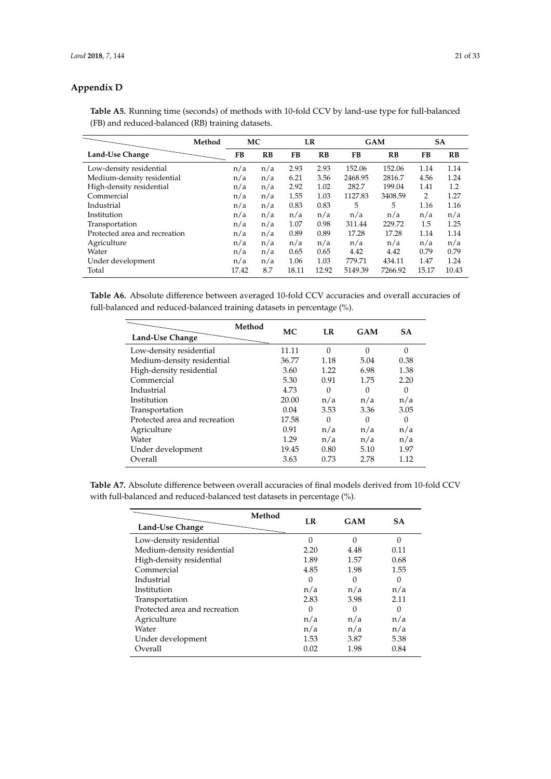# <span id="page-20-0"></span>**Appendix D**

**Table A5.** Running time (seconds) of methods with 10-fold CCV by land-use type for full-balanced (FB) and reduced-balanced (RB) training datasets.

|                               | Method | <b>MC</b> |     |       | LR    | <b>GAM</b> |         | <b>SA</b> |       |
|-------------------------------|--------|-----------|-----|-------|-------|------------|---------|-----------|-------|
| Land-Use Change               |        | FB        | RB  | FB    | RB    | FB         | RB      | FB        | RB    |
| Low-density residential       |        | n/a       | n/a | 2.93  | 2.93  | 152.06     | 152.06  | 1.14      | 1.14  |
| Medium-density residential    |        | n/a       | n/a | 6.21  | 3.56  | 2468.95    | 2816.7  | 4.56      | 1.24  |
| High-density residential      |        | n/a       | n/a | 2.92  | 1.02  | 282.7      | 199.04  | 1.41      | 1.2   |
| Commercial                    |        | n/a       | n/a | 1.55  | 1.03  | 1127.83    | 3408.59 | 2         | 1.27  |
| Industrial                    |        | n/a       | n/a | 0.83  | 0.83  | 5          | 5       | 1.16      | 1.16  |
| Institution                   |        | n/a       | n/a | n/a   | n/a   | n/a        | n/a     | n/a       | n/a   |
| Transportation                |        | n/a       | n/a | 1.07  | 0.98  | 311.44     | 229.72  | 1.5       | 1.25  |
| Protected area and recreation |        | n/a       | n/a | 0.89  | 0.89  | 17.28      | 17.28   | 1.14      | 1.14  |
| Agriculture                   |        | n/a       | n/a | n/a   | n/a   | n/a        | n/a     | n/a       | n/a   |
| Water                         |        | n/a       | n/a | 0.65  | 0.65  | 4.42       | 4.42    | 0.79      | 0.79  |
| Under development             |        | n/a       | n/a | 1.06  | 1.03  | 779.71     | 434.11  | 1.47      | 1.24  |
| Total                         |        | 17.42     | 8.7 | 18.11 | 12.92 | 5149.39    | 7266.92 | 15.17     | 10.43 |

**Table A6.** Absolute difference between averaged 10-fold CCV accuracies and overall accuracies of full-balanced and reduced-balanced training datasets in percentage (%).

| Method                        |           |           |            |           |
|-------------------------------|-----------|-----------|------------|-----------|
| Land-Use Change               | <b>MC</b> | <b>LR</b> | <b>GAM</b> | <b>SA</b> |
| Low-density residential       | 11.11     | $\Omega$  | $\Omega$   | $\Omega$  |
| Medium-density residential    | 36.77     | 1.18      | 5.04       | 0.38      |
| High-density residential      | 3.60      | 1.22      | 6.98       | 1.38      |
| Commercial                    | 5.30      | 0.91      | 1.75       | 2.20      |
| Industrial                    | 4.73      | 0         | 0          | $\Omega$  |
| Institution                   | 20.00     | n/a       | n/a        | n/a       |
| Transportation                | 0.04      | 3.53      | 3.36       | 3.05      |
| Protected area and recreation | 17.58     | $\Omega$  | 0          | 0         |
| Agriculture                   | 0.91      | n/a       | n/a        | n/a       |
| Water                         | 1.29      | n/a       | n/a        | n/a       |
| Under development             | 19.45     | 0.80      | 5.10       | 1.97      |
| Overall                       | 3.63      | 0.73      | 2.78       | 1.12      |

|  | Table A7. Absolute difference between overall accuracies of final models derived from 10-fold CCV |  |  |  |  |
|--|---------------------------------------------------------------------------------------------------|--|--|--|--|
|  | with full-balanced and reduced-balanced test datasets in percentage (%).                          |  |  |  |  |

| Land-Use Change               | Method | LR.  | <b>GAM</b> | <b>SA</b> |
|-------------------------------|--------|------|------------|-----------|
| Low-density residential       |        | 0    | 0          | 0         |
| Medium-density residential    |        | 2.20 | 4.48       | 0.11      |
| High-density residential      |        | 1.89 | 1.57       | 0.68      |
| Commercial                    |        | 4.85 | 1.98       | 1.55      |
| Industrial                    |        | 0    | 0          | $\theta$  |
| Institution                   |        | n/a  | n/a        | n/a       |
| Transportation                |        | 2.83 | 3.98       | 2.11      |
| Protected area and recreation |        | 0    | 0          | 0         |
| Agriculture                   |        | n/a  | n/a        | n/a       |
| Water                         |        | n/a  | n/a        | n/a       |
| Under development             |        | 1.53 | 3.87       | 5.38      |
| Overall                       |        | 0.02 | 1.98       | 0.84      |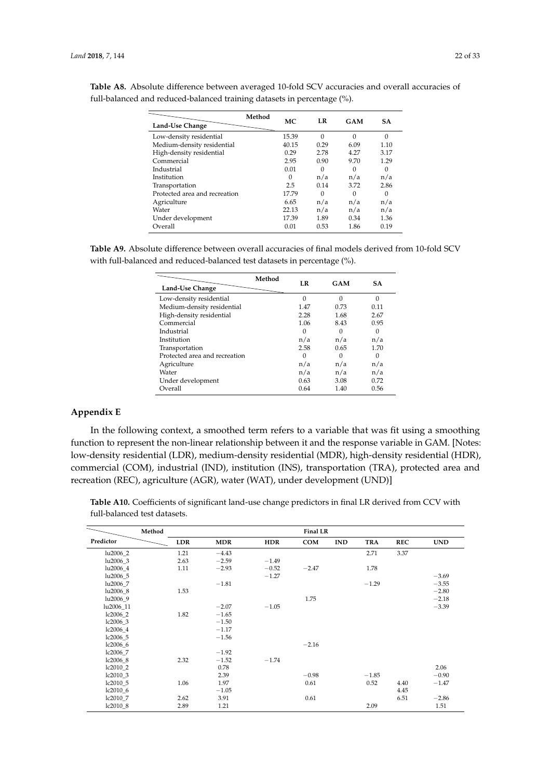| Land-Use Change               | Method | MC.   | LR       | <b>GAM</b> | <b>SA</b> |
|-------------------------------|--------|-------|----------|------------|-----------|
| Low-density residential       |        | 15.39 | 0        | $\Omega$   | $\Omega$  |
| Medium-density residential    |        | 40.15 | 0.29     | 6.09       | 1.10      |
| High-density residential      |        | 0.29  | 2.78     | 4.27       | 3.17      |
| Commercial                    |        | 2.95  | 0.90     | 9.70       | 1.29      |
| Industrial                    |        | 0.01  | $\theta$ | $\Omega$   | 0         |
| Institution                   |        | 0     | n/a      | n/a        | n/a       |
| Transportation                |        | 2.5   | 0.14     | 3.72       | 2.86      |
| Protected area and recreation |        | 17.79 | $\Omega$ | $\Omega$   | $\Omega$  |
| Agriculture                   |        | 6.65  | n/a      | n/a        | n/a       |
| Water                         |        | 22.13 | n/a      | n/a        | n/a       |
| Under development             |        | 17.39 | 1.89     | 0.34       | 1.36      |
| Overall                       |        | 0.01  | 0.53     | 1.86       | 0.19      |
|                               |        |       |          |            |           |

**Table A8.** Absolute difference between averaged 10-fold SCV accuracies and overall accuracies of full-balanced and reduced-balanced training datasets in percentage (%).

| <b>Table A9.</b> Absolute difference between overall accuracies of final models derived from 10-fold SCV |  |
|----------------------------------------------------------------------------------------------------------|--|
| with full-balanced and reduced-balanced test datasets in percentage (%).                                 |  |

|                               | Method | LR       | <b>GAM</b> | <b>SA</b> |
|-------------------------------|--------|----------|------------|-----------|
| Land-Use Change               |        |          |            |           |
| Low-density residential       |        | $\Omega$ | $\Omega$   | $\Omega$  |
| Medium-density residential    |        | 1.47     | 0.73       | 0.11      |
| High-density residential      |        | 2.28     | 1.68       | 2.67      |
| Commercial                    |        | 1.06     | 8.43       | 0.95      |
| Industrial                    |        | $\Omega$ | $\Omega$   | $\Omega$  |
| Institution                   |        | n/a      | n/a        | n/a       |
| Transportation                |        | 2.58     | 0.65       | 1.70      |
| Protected area and recreation |        | $\Omega$ | $\Omega$   | 0         |
| Agriculture                   |        | n/a      | n/a        | n/a       |
| Water                         |        | n/a      | n/a        | n/a       |
| Under development             |        | 0.63     | 3.08       | 0.72      |
| Overall                       |        | 0.64     | 1.40       | 0.56      |

# <span id="page-21-0"></span>**Appendix E**

In the following context, a smoothed term refers to a variable that was fit using a smoothing function to represent the non-linear relationship between it and the response variable in GAM. [Notes: low-density residential (LDR), medium-density residential (MDR), high-density residential (HDR), commercial (COM), industrial (IND), institution (INS), transportation (TRA), protected area and recreation (REC), agriculture (AGR), water (WAT), under development (UND)]

**Table A10.** Coefficients of significant land-use change predictors in final LR derived from CCV with full-balanced test datasets.

| Method     |            |            |            |            |            |            |            |
|------------|------------|------------|------------|------------|------------|------------|------------|
| <b>LDR</b> | <b>MDR</b> | <b>HDR</b> | <b>COM</b> | <b>IND</b> | <b>TRA</b> | <b>REC</b> | <b>UND</b> |
| 1.21       | $-4.43$    |            |            |            | 2.71       | 3.37       |            |
| 2.63       | $-2.59$    | $-1.49$    |            |            |            |            |            |
| 1.11       | $-2.93$    | $-0.52$    | $-2.47$    |            | 1.78       |            |            |
|            |            | $-1.27$    |            |            |            |            | $-3.69$    |
|            | $-1.81$    |            |            |            | $-1.29$    |            | $-3.55$    |
| 1.53       |            |            |            |            |            |            | $-2.80$    |
|            |            |            | 1.75       |            |            |            | $-2.18$    |
|            | $-2.07$    | $-1.05$    |            |            |            |            | $-3.39$    |
| 1.82       | $-1.65$    |            |            |            |            |            |            |
|            | $-1.50$    |            |            |            |            |            |            |
|            | $-1.17$    |            |            |            |            |            |            |
|            | $-1.56$    |            |            |            |            |            |            |
|            |            |            | $-2.16$    |            |            |            |            |
|            | $-1.92$    |            |            |            |            |            |            |
| 2.32       | $-1.52$    | $-1.74$    |            |            |            |            |            |
|            | 0.78       |            |            |            |            |            | 2.06       |
|            | 2.39       |            | $-0.98$    |            | $-1.85$    |            | $-0.90$    |
| 1.06       | 1.97       |            | 0.61       |            | 0.52       | 4.40       | $-1.47$    |
|            | $-1.05$    |            |            |            |            | 4.45       |            |
| 2.62       | 3.91       |            | 0.61       |            |            | 6.51       | $-2.86$    |
| 2.89       | 1.21       |            |            |            | 2.09       |            | 1.51       |
|            |            |            |            |            | Final LR   |            |            |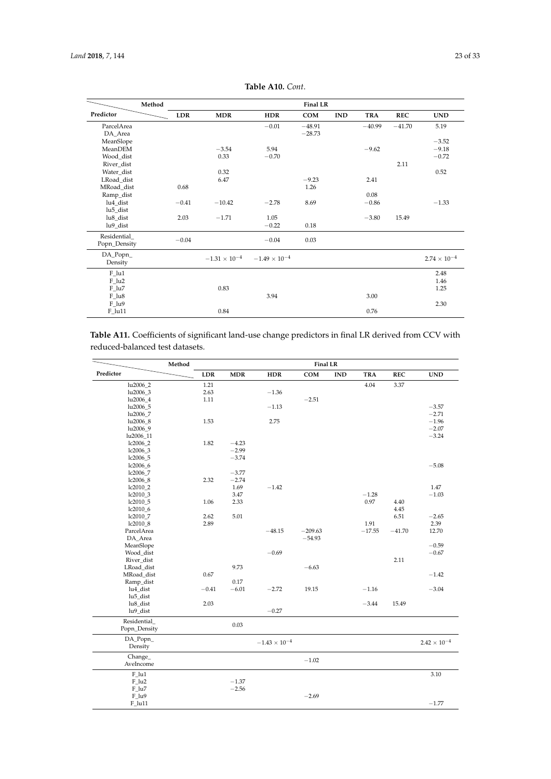|              | Method     |            |                                               | Final LR   |            |            |            |                       |
|--------------|------------|------------|-----------------------------------------------|------------|------------|------------|------------|-----------------------|
| Predictor    | <b>LDR</b> | <b>MDR</b> | <b>HDR</b>                                    | <b>COM</b> | <b>IND</b> | <b>TRA</b> | <b>REC</b> | <b>UND</b>            |
| ParcelArea   |            |            | $-0.01$                                       | $-48.91$   |            | $-40.99$   | $-41.70$   | 5.19                  |
| DA Area      |            |            |                                               | $-28.73$   |            |            |            |                       |
| MeanSlope    |            |            |                                               |            |            |            |            | $-3.52$               |
| MeanDEM      |            | $-3.54$    | 5.94                                          |            |            | $-9.62$    |            | $-9.18$               |
| Wood_dist    |            | 0.33       | $-0.70$                                       |            |            |            |            | $-0.72$               |
| River_dist   |            |            |                                               |            |            |            | 2.11       |                       |
| Water_dist   |            | 0.32       |                                               |            |            |            |            | 0.52                  |
| LRoad_dist   |            | 6.47       |                                               | $-9.23$    |            | 2.41       |            |                       |
| MRoad_dist   | 0.68       |            |                                               | 1.26       |            |            |            |                       |
| Ramp_dist    |            |            |                                               |            |            | 0.08       |            |                       |
| lu4_dist     | $-0.41$    | $-10.42$   | $-2.78$                                       | 8.69       |            | $-0.86$    |            | $-1.33$               |
| lu5_dist     |            |            |                                               |            |            |            |            |                       |
| lu8_dist     | 2.03       | $-1.71$    | 1.05                                          |            |            | $-3.80$    | 15.49      |                       |
| lu9 dist     |            |            | $-0.22$                                       | 0.18       |            |            |            |                       |
| Residential  | $-0.04$    |            | $-0.04$                                       | 0.03       |            |            |            |                       |
| Popn_Density |            |            |                                               |            |            |            |            |                       |
| DA_Popn_     |            |            | $-1.31 \times 10^{-4}$ $-1.49 \times 10^{-4}$ |            |            |            |            | $2.74 \times 10^{-4}$ |
| Density      |            |            |                                               |            |            |            |            |                       |
| F_lu1        |            |            |                                               |            |            |            |            | 2.48                  |
| $F_l$ lu2    |            |            |                                               |            |            |            |            | 1.46                  |
| F_lu7        |            | 0.83       |                                               |            |            |            |            | 1.25                  |
| F_lu8        |            |            | 3.94                                          |            |            | 3.00       |            |                       |
| $F_l$ lu9    |            |            |                                               |            |            |            |            | 2.30                  |
| $F_l$ lu11   |            | 0.84       |                                               |            |            | 0.76       |            |                       |

**Table A10.** *Cont*.

| <b>Table A11.</b> Coefficients of significant land-use change predictors in final LR derived from CCV with |  |
|------------------------------------------------------------------------------------------------------------|--|
| reduced-balanced test datasets.                                                                            |  |

|              | Method |            |         |                        | Final LR  |                |            |            |                           |
|--------------|--------|------------|---------|------------------------|-----------|----------------|------------|------------|---------------------------|
| Predictor    |        | <b>LDR</b> | MDR     | <b>HDR</b>             | COM       | $\mathbf{IND}$ | <b>TRA</b> | <b>REC</b> | $\ensuremath{\text{UND}}$ |
| lu2006_2     |        | 1.21       |         |                        |           |                | 4.04       | 3.37       |                           |
| lu2006_3     |        | 2.63       |         | $-1.36$                |           |                |            |            |                           |
| lu2006_4     |        | 1.11       |         |                        | $-2.51$   |                |            |            |                           |
| lu2006 5     |        |            |         | $-1.13$                |           |                |            |            | $-3.57$                   |
| lu2006_7     |        |            |         |                        |           |                |            |            | $-2.71$                   |
| lu2006_8     |        | 1.53       |         | 2.75                   |           |                |            |            | $-1.96$                   |
| lu2006_9     |        |            |         |                        |           |                |            |            | $-2.07$                   |
| lu2006_11    |        |            |         |                        |           |                |            |            | $-3.24$                   |
| $lc2006$ 2   |        | 1.82       | $-4.23$ |                        |           |                |            |            |                           |
| lc2006_3     |        |            | $-2.99$ |                        |           |                |            |            |                           |
| lc2006_5     |        |            | $-3.74$ |                        |           |                |            |            |                           |
| lc2006_6     |        |            |         |                        |           |                |            |            | $-5.08$                   |
| lc2006_7     |        |            | $-3.77$ |                        |           |                |            |            |                           |
| lc2006_8     |        | 2.32       | $-2.74$ |                        |           |                |            |            |                           |
| lc2010_2     |        |            | 1.69    | $-1.42$                |           |                |            |            | 1.47                      |
| lc2010_3     |        |            | 3.47    |                        |           |                | $-1.28$    |            | $-1.03$                   |
| lc2010_5     |        | 1.06       | 2.33    |                        |           |                | 0.97       | 4.40       |                           |
| lc2010_6     |        |            |         |                        |           |                |            | 4.45       |                           |
| lc2010_7     |        | 2.62       | 5.01    |                        |           |                |            | 6.51       | $-2.65$                   |
| lc2010_8     |        | 2.89       |         |                        |           |                | 1.91       |            | 2.39                      |
| ParcelArea   |        |            |         | $-48.15$               | $-209.63$ |                | $-17.55$   | $-41.70$   | 12.70                     |
| DA_Area      |        |            |         |                        | $-54.93$  |                |            |            |                           |
| MeanSlope    |        |            |         |                        |           |                |            |            | $-0.59$                   |
| Wood_dist    |        |            |         | $-0.69$                |           |                |            |            | $-0.67$                   |
| River_dist   |        |            |         |                        |           |                |            | 2.11       |                           |
| LRoad_dist   |        |            | 9.73    |                        | $-6.63$   |                |            |            |                           |
| MRoad dist   |        | 0.67       |         |                        |           |                |            |            | $-1.42$                   |
| Ramp_dist    |        |            | 0.17    |                        |           |                |            |            |                           |
| lu4_dist     |        | $-0.41$    | $-6.01$ | $-2.72$                | 19.15     |                | $-1.16$    |            | $-3.04$                   |
| lu5_dist     |        |            |         |                        |           |                |            |            |                           |
| lu8_dist     |        | 2.03       |         |                        |           |                | $-3.44$    | 15.49      |                           |
| lu9_dist     |        |            |         | $-0.27$                |           |                |            |            |                           |
| Residential_ |        |            | 0.03    |                        |           |                |            |            |                           |
| Popn_Density |        |            |         |                        |           |                |            |            |                           |
| DA_Popn_     |        |            |         | $-1.43 \times 10^{-4}$ |           |                |            |            | $2.42 \times 10^{-4}$     |
| Density      |        |            |         |                        |           |                |            |            |                           |
| Change_      |        |            |         |                        | $-1.02$   |                |            |            |                           |
| AveIncome    |        |            |         |                        |           |                |            |            |                           |
| F_lu1        |        |            |         |                        |           |                |            |            | 3.10                      |
| F_lu2        |        |            | $-1.37$ |                        |           |                |            |            |                           |
| F_lu7        |        |            | $-2.56$ |                        |           |                |            |            |                           |
| F lu9        |        |            |         |                        | $-2.69$   |                |            |            |                           |
| $F_l$ lu11   |        |            |         |                        |           |                |            |            | $-1.77$                   |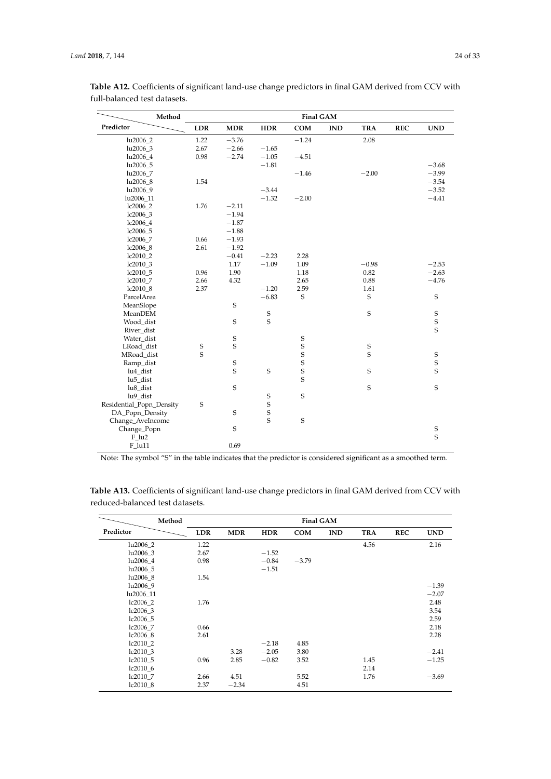| Method                   |            |             |             | <b>Final GAM</b> |            |             |            |                           |
|--------------------------|------------|-------------|-------------|------------------|------------|-------------|------------|---------------------------|
| Predictor                | <b>LDR</b> | <b>MDR</b>  | <b>HDR</b>  | COM              | <b>IND</b> | <b>TRA</b>  | <b>REC</b> | <b>UND</b>                |
| lu2006 2                 | 1.22       | $-3.76$     |             | $-1.24$          |            | 2.08        |            |                           |
| lu2006_3                 | 2.67       | $-2.66$     | $-1.65$     |                  |            |             |            |                           |
| lu2006_4                 | 0.98       | $-2.74$     | $-1.05$     | $-4.51$          |            |             |            |                           |
| lu2006_5                 |            |             | $-1.81$     |                  |            |             |            | $-3.68$                   |
| lu2006_7                 |            |             |             | $-1.46$          |            | $-2.00$     |            | $-3.99$                   |
| lu2006_8                 | 1.54       |             |             |                  |            |             |            | $-3.54$                   |
| lu2006_9                 |            |             | $-3.44$     |                  |            |             |            | $-3.52$                   |
| lu2006_11                |            |             | $-1.32$     | $-2.00$          |            |             |            | $-4.41$                   |
| lc2006_2                 | 1.76       | $-2.11$     |             |                  |            |             |            |                           |
| lc2006_3                 |            | $-1.94$     |             |                  |            |             |            |                           |
| $lc2006_4$               |            | $-1.87$     |             |                  |            |             |            |                           |
| lc2006_5                 |            | $-1.88$     |             |                  |            |             |            |                           |
| lc2006_7                 | 0.66       | $-1.93$     |             |                  |            |             |            |                           |
| lc2006_8                 | 2.61       | $-1.92$     |             |                  |            |             |            |                           |
| lc2010_2                 |            | $-0.41$     | $-2.23$     | 2.28             |            |             |            |                           |
| lc2010_3                 |            | 1.17        | $-1.09$     | 1.09             |            | $-0.98$     |            | $-2.53$                   |
| lc2010_5                 | 0.96       | 1.90        |             | 1.18             |            | 0.82        |            | $-2.63$                   |
| lc2010 7                 | 2.66       | 4.32        |             | 2.65             |            | 0.88        |            | $-4.76$                   |
| lc2010_8                 | 2.37       |             | $-1.20$     | 2.59             |            | 1.61        |            |                           |
| ParcelArea               |            |             | $-6.83$     | S                |            | S           |            | $\mathbf S$               |
| MeanSlope                |            | $\mathbf S$ |             |                  |            |             |            |                           |
| MeanDEM                  |            |             | $\mathbf S$ |                  |            | S           |            | $\boldsymbol{\mathsf{S}}$ |
| Wood_dist                |            | $\mathbf S$ | S           |                  |            |             |            | $\mathsf S$               |
| River dist               |            |             |             |                  |            |             |            | $\rm S$                   |
| Water_dist               |            | $\mathbf S$ |             | $\mathbf S$      |            |             |            |                           |
| LRoad_dist               | S          | S           |             | $\mathbf S$      |            | $\mathbf S$ |            |                           |
| MRoad dist               | S          |             |             | S                |            | S           |            | $\mathbf S$               |
| Ramp_dist                |            | $\mathbf S$ |             | S                |            |             |            | $\mathbf S$               |
| lu4_dist                 |            | S           | S           | $\mathsf S$      |            | S           |            | $\mathbf S$               |
| lu5_dist                 |            |             |             | $\rm S$          |            |             |            |                           |
| lu8_dist                 |            | S           |             |                  |            | S           |            | S                         |
| lu9_dist                 |            |             | S           | $\mathbf S$      |            |             |            |                           |
| Residential_Popn_Density | S          |             | $S_S$       |                  |            |             |            |                           |
| DA_Popn_Density          |            | $\mathbf S$ |             |                  |            |             |            |                           |
| Change_AveIncome         |            |             |             | $\mathbf S$      |            |             |            |                           |
| Change_Popn              |            | S           |             |                  |            |             |            | $\mathbf S$               |
| F_lu2                    |            |             |             |                  |            |             |            | S                         |
| $F_l$ lu11               |            | 0.69        |             |                  |            |             |            |                           |

**Table A12.** Coefficients of significant land-use change predictors in final GAM derived from CCV with full-balanced test datasets.

Note: The symbol "S" in the table indicates that the predictor is considered significant as a smoothed term.

|            | Method     |            |            |            | <b>Final GAM</b> |            |            |            |
|------------|------------|------------|------------|------------|------------------|------------|------------|------------|
| Predictor  | <b>LDR</b> | <b>MDR</b> | <b>HDR</b> | <b>COM</b> | <b>IND</b>       | <b>TRA</b> | <b>REC</b> | <b>UND</b> |
| lu2006_2   | 1.22       |            |            |            |                  | 4.56       |            | 2.16       |
| lu2006 3   | 2.67       |            | $-1.52$    |            |                  |            |            |            |
| lu2006 4   | 0.98       |            | $-0.84$    | $-3.79$    |                  |            |            |            |
| lu2006 5   |            |            | $-1.51$    |            |                  |            |            |            |
| lu2006 8   | 1.54       |            |            |            |                  |            |            |            |
| lu2006 9   |            |            |            |            |                  |            |            | $-1.39$    |
| lu2006 11  |            |            |            |            |                  |            |            | $-2.07$    |
| $lc2006_2$ | 1.76       |            |            |            |                  |            |            | 2.48       |
| lc2006 3   |            |            |            |            |                  |            |            | 3.54       |
| lc2006 5   |            |            |            |            |                  |            |            | 2.59       |
| lc2006 7   | 0.66       |            |            |            |                  |            |            | 2.18       |
| lc20068    | 2.61       |            |            |            |                  |            |            | 2.28       |
| lc20102    |            |            | $-2.18$    | 4.85       |                  |            |            |            |
| lc2010 3   |            | 3.28       | $-2.05$    | 3.80       |                  |            |            | $-2.41$    |
| lc2010 5   | 0.96       | 2.85       | $-0.82$    | 3.52       |                  | 1.45       |            | $-1.25$    |
| lc20106    |            |            |            |            |                  | 2.14       |            |            |
| lc2010 7   | 2.66       | 4.51       |            | 5.52       |                  | 1.76       |            | $-3.69$    |
| lc2010 8   | 2.37       | $-2.34$    |            | 4.51       |                  |            |            |            |

**Table A13.** Coefficients of significant land-use change predictors in final GAM derived from CCV with reduced-balanced test datasets.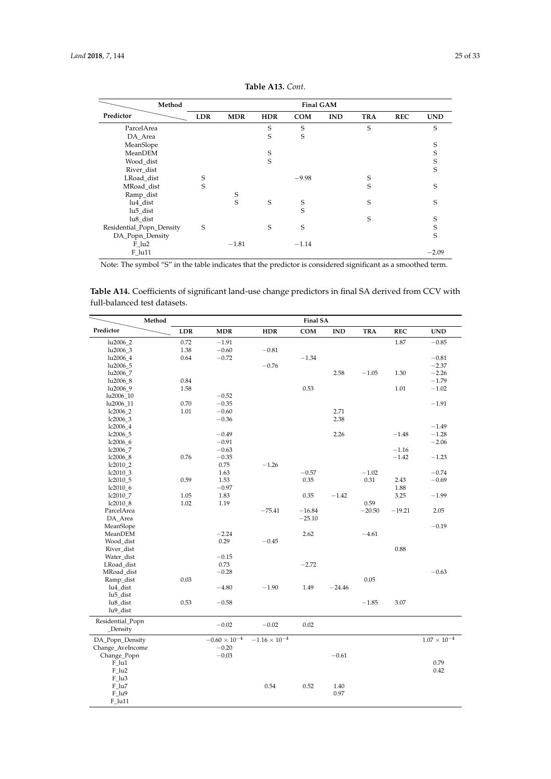| Method                   |            |            |             | <b>Final GAM</b> |            |            |            |            |
|--------------------------|------------|------------|-------------|------------------|------------|------------|------------|------------|
| Predictor                | <b>LDR</b> | <b>MDR</b> | <b>HDR</b>  | <b>COM</b>       | <b>IND</b> | <b>TRA</b> | <b>REC</b> | <b>UND</b> |
| ParcelArea               |            |            | S           | S                |            | S          |            | S          |
| DA_Area                  |            |            | S           | S                |            |            |            |            |
| MeanSlope                |            |            |             |                  |            |            |            | S          |
| MeanDEM                  |            |            | $\mathbf S$ |                  |            |            |            | S          |
| Wood_dist                |            |            | S           |                  |            |            |            | S          |
| River_dist               |            |            |             |                  |            |            |            | S          |
| LRoad_dist               | S          |            |             | $-9.98$          |            | S          |            |            |
| MRoad_dist               | S          |            |             |                  |            | S          |            | S          |
| Ramp_dist                |            | S          |             |                  |            |            |            |            |
| lu4_dist                 |            | S          | S           | S                |            | S          |            | S          |
| lu5_dist                 |            |            |             | S                |            |            |            |            |
| lu8_dist                 |            |            |             |                  |            | S          |            | S          |
| Residential_Popn_Density | S          |            | S           | S                |            |            |            | S          |
| DA_Popn_Density          |            |            |             |                  |            |            |            | S          |
| $F_{ll}$                 |            | $-1.81$    |             | $-1.14$          |            |            |            |            |
| $F_l$ lu11               |            |            |             |                  |            |            |            | $-2.09$    |

**Table A13.** *Cont*.

Note: The symbol "S" in the table indicates that the predictor is considered significant as a smoothed term.

**Table A14.** Coefficients of significant land-use change predictors in final SA derived from CCV with full-balanced test datasets.

|                  | Method |            |                      |                      | Final SA |            |            |            |                     |
|------------------|--------|------------|----------------------|----------------------|----------|------------|------------|------------|---------------------|
| Predictor        |        | <b>LDR</b> | <b>MDR</b>           | <b>HDR</b>           | COM      | <b>IND</b> | <b>TRA</b> | <b>REC</b> | <b>UND</b>          |
| lu2006_2         |        | 0.72       | $-1.91$              |                      |          |            |            | 1.87       | $-0.85$             |
| lu2006 3         |        | 1.38       | $-0.60$              | $-0.81$              |          |            |            |            |                     |
| lu2006_4         |        | 0.64       | $-0.72$              |                      | $-1.34$  |            |            |            | $-0.81$             |
| lu2006_5         |        |            |                      | $-0.76$              |          |            |            |            | $-2.37$             |
| lu2006_7         |        |            |                      |                      |          | 2.58       | $-1.05$    | 1.30       | $-2.26$             |
| lu2006 8         |        | 0.84       |                      |                      |          |            |            |            | $-1.79$             |
| lu2006_9         |        | 1.58       |                      |                      | 0.53     |            |            | 1.01       | $-1.02$             |
| lu2006_10        |        |            | $-0.52$              |                      |          |            |            |            |                     |
| lu2006_11        |        | 0.70       | $-0.35$              |                      |          |            |            |            | $-1.91$             |
| lc2006_2         |        | 1.01       | $-0.60$              |                      |          | 2.71       |            |            |                     |
| lc2006 3         |        |            | $-0.36$              |                      |          | 2.38       |            |            |                     |
| lc2006_4         |        |            |                      |                      |          |            |            |            | $-1.49$             |
| lc2006 5         |        |            | $-0.49$              |                      |          | 2.26       |            | $-1.48$    | $-1.28$             |
| lc2006_6         |        |            | $-0.91$              |                      |          |            |            |            | $-2.06$             |
| lc2006_7         |        |            | $-0.63$              |                      |          |            |            | $-1.16$    |                     |
| lc2006_8         |        | 0.76       | $-0.35$              |                      |          |            |            | $-1.42$    | $-1.23$             |
| lc2010 2         |        |            | 0.75                 | $-1.26$              |          |            |            |            |                     |
| lc2010 3         |        |            | 1.63                 |                      | $-0.57$  |            | $-1.02$    |            | $-0.74$             |
| lc2010_5         |        | 0.59       | 1.53                 |                      | 0.35     |            | 0.31       | 2.43       | $-0.69$             |
| lc2010_6         |        |            | $-0.97$              |                      |          |            |            | 1.88       |                     |
| lc2010 7         |        | 1.05       | 1.83                 |                      | 0.35     | $-1.42$    |            | 3.25       | $-1.99$             |
| lc2010 8         |        | 1.02       | 1.19                 |                      |          |            | 0.59       |            |                     |
| ParcelArea       |        |            |                      | $-75.41$             | $-16.84$ |            | $-20.50$   | $-19.21$   | 2.05                |
| DA_Area          |        |            |                      |                      | $-25.10$ |            |            |            |                     |
| MeanSlope        |        |            |                      |                      |          |            |            |            | $-0.19$             |
| MeanDEM          |        |            | $-2.24$              |                      | 2.62     |            | $-4.61$    |            |                     |
| Wood_dist        |        |            | 0.29                 | $-0.45$              |          |            |            |            |                     |
| River_dist       |        |            |                      |                      |          |            |            | 0.88       |                     |
| Water_dist       |        |            | $-0.15$              |                      |          |            |            |            |                     |
| LRoad dist       |        |            | 0.73                 |                      | $-2.72$  |            |            |            |                     |
| MRoad_dist       |        |            | $-0.28$              |                      |          |            |            |            | $-0.63$             |
| Ramp_dist        |        | 0.03       |                      |                      |          |            | 0.05       |            |                     |
| lu4_dist         |        |            | $-4.80$              | $-1.90$              | 1.49     | $-24.46$   |            |            |                     |
| lu5_dist         |        |            |                      |                      |          |            |            |            |                     |
| lu8_dist         |        | 0.53       | $-0.58$              |                      |          |            | $-1.85$    | 3.07       |                     |
| lu9 dist         |        |            |                      |                      |          |            |            |            |                     |
| Residential_Popn |        |            |                      |                      |          |            |            |            |                     |
| _Density         |        |            | $-0.02$              | $-0.02$              | 0.02     |            |            |            |                     |
| DA_Popn_Density  |        |            | $-0.60\times10^{-4}$ | $-1.16\times10^{-4}$ |          |            |            |            | $1.07\times10^{-4}$ |
| Change_AveIncome |        |            | $-0.20$              |                      |          |            |            |            |                     |
| Change_Popn      |        |            | $-0.03$              |                      |          | $-0.61$    |            |            |                     |
| $F_l$ lu1        |        |            |                      |                      |          |            |            |            | 0.79                |
| F_lu2            |        |            |                      |                      |          |            |            |            | 0.42                |
| $F_{ll}$         |        |            |                      |                      |          |            |            |            |                     |
| F_lu7            |        |            |                      | 0.54                 | 0.52     | 1.40       |            |            |                     |
| F_lu9            |        |            |                      |                      |          | 0.97       |            |            |                     |
| $F_l$ lu11       |        |            |                      |                      |          |            |            |            |                     |
|                  |        |            |                      |                      |          |            |            |            |                     |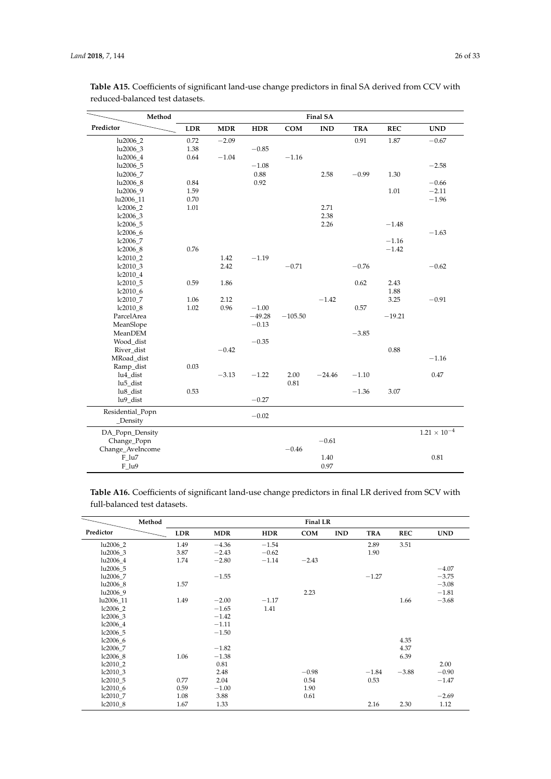| Method           |            |            |            |           | <b>Final SA</b> |            |            |                     |
|------------------|------------|------------|------------|-----------|-----------------|------------|------------|---------------------|
| Predictor        | <b>LDR</b> | <b>MDR</b> | <b>HDR</b> | COM       | $\mathbf{IND}$  | <b>TRA</b> | <b>REC</b> | <b>UND</b>          |
| lu2006_2         | 0.72       | $-2.09$    |            |           |                 | 0.91       | 1.87       | $-0.67$             |
| lu2006_3         | 1.38       |            | $-0.85$    |           |                 |            |            |                     |
| lu2006 4         | 0.64       | $-1.04$    |            | $-1.16$   |                 |            |            |                     |
| lu2006_5         |            |            | $-1.08$    |           |                 |            |            | $-2.58$             |
| lu2006_7         |            |            | 0.88       |           | 2.58            | $-0.99$    | 1.30       |                     |
| lu2006_8         | 0.84       |            | 0.92       |           |                 |            |            | $-0.66$             |
| lu2006_9         | 1.59       |            |            |           |                 |            | 1.01       | $-2.11$             |
| lu2006_11        | 0.70       |            |            |           |                 |            |            | $-1.96$             |
| lc2006_2         | 1.01       |            |            |           | 2.71            |            |            |                     |
| lc2006_3         |            |            |            |           | 2.38            |            |            |                     |
| lc2006 5         |            |            |            |           | 2.26            |            | $-1.48$    |                     |
| lc2006_6         |            |            |            |           |                 |            |            | $-1.63$             |
| lc2006_7         |            |            |            |           |                 |            | $-1.16$    |                     |
| lc2006_8         | 0.76       |            |            |           |                 |            | $-1.42$    |                     |
| lc2010_2         |            | 1.42       | $-1.19$    |           |                 |            |            |                     |
| lc2010_3         |            | 2.42       |            | $-0.71$   |                 | $-0.76$    |            | $-0.62$             |
| lc2010 4         |            |            |            |           |                 |            |            |                     |
| lc2010_5         | 0.59       | 1.86       |            |           |                 | 0.62       | 2.43       |                     |
| lc2010 6         |            |            |            |           |                 |            | 1.88       |                     |
| lc2010_7         | 1.06       | 2.12       |            |           | $-1.42$         |            | 3.25       | $-0.91$             |
| lc2010_8         | 1.02       | 0.96       | $-1.00$    |           |                 | 0.57       |            |                     |
| ParcelArea       |            |            | $-49.28$   | $-105.50$ |                 |            | $-19.21$   |                     |
| MeanSlope        |            |            | $-0.13$    |           |                 |            |            |                     |
| MeanDEM          |            |            |            |           |                 | $-3.85$    |            |                     |
| Wood_dist        |            |            | $-0.35$    |           |                 |            |            |                     |
| River dist       |            | $-0.42$    |            |           |                 |            | 0.88       |                     |
| MRoad dist       |            |            |            |           |                 |            |            | $-1.16$             |
| Ramp_dist        | 0.03       |            |            |           |                 |            |            |                     |
| lu4_dist         |            | $-3.13$    | $-1.22$    | 2.00      | $-24.46$        | $-1.10$    |            | 0.47                |
| lu5_dist         |            |            |            | 0.81      |                 |            |            |                     |
| lu8_dist         | 0.53       |            |            |           |                 | $-1.36$    | 3.07       |                     |
| lu9_dist         |            |            | $-0.27$    |           |                 |            |            |                     |
| Residential_Popn |            |            |            |           |                 |            |            |                     |
| Density          |            |            | $-0.02$    |           |                 |            |            |                     |
|                  |            |            |            |           |                 |            |            |                     |
| DA_Popn_Density  |            |            |            |           |                 |            |            | $1.21\times10^{-4}$ |
| Change_Popn      |            |            |            |           | $-0.61$         |            |            |                     |
| Change_AveIncome |            |            |            | $-0.46$   |                 |            |            |                     |
| F_lu7            |            |            |            |           | 1.40            |            |            | 0.81                |
| $F_{ll}$         |            |            |            |           | 0.97            |            |            |                     |

**Table A15.** Coefficients of significant land-use change predictors in final SA derived from CCV with reduced-balanced test datasets.

**Table A16.** Coefficients of significant land-use change predictors in final LR derived from SCV with full-balanced test datasets.

|            | Method |            |            |            | Final LR   |            |            |            |            |
|------------|--------|------------|------------|------------|------------|------------|------------|------------|------------|
| Predictor  |        | <b>LDR</b> | <b>MDR</b> | <b>HDR</b> | <b>COM</b> | <b>IND</b> | <b>TRA</b> | <b>REC</b> | <b>UND</b> |
| lu2006_2   |        | 1.49       | $-4.36$    | $-1.54$    |            |            | 2.89       | 3.51       |            |
| lu2006_3   |        | 3.87       | $-2.43$    | $-0.62$    |            |            | 1.90       |            |            |
| lu2006 4   |        | 1.74       | $-2.80$    | $-1.14$    | $-2.43$    |            |            |            |            |
| lu2006 5   |        |            |            |            |            |            |            |            | $-4.07$    |
| lu2006 7   |        |            | $-1.55$    |            |            |            | $-1.27$    |            | $-3.75$    |
| lu2006 8   |        | 1.57       |            |            |            |            |            |            | $-3.08$    |
| lu2006_9   |        |            |            |            | 2.23       |            |            |            | $-1.81$    |
| lu2006_11  |        | 1.49       | $-2.00$    | $-1.17$    |            |            |            | 1.66       | $-3.68$    |
| $lc2006$ 2 |        |            | $-1.65$    | 1.41       |            |            |            |            |            |
| $lc2006_3$ |        |            | $-1.42$    |            |            |            |            |            |            |
| $lc2006$ 4 |        |            | $-1.11$    |            |            |            |            |            |            |
| lc2006_5   |        |            | $-1.50$    |            |            |            |            |            |            |
| lc20066    |        |            |            |            |            |            |            | 4.35       |            |
| lc2006 7   |        |            | $-1.82$    |            |            |            |            | 4.37       |            |
| lc20068    |        | 1.06       | $-1.38$    |            |            |            |            | 6.39       |            |
| lc2010 2   |        |            | 0.81       |            |            |            |            |            | 2.00       |
| lc2010_3   |        |            | 2.48       |            | $-0.98$    |            | $-1.84$    | $-3.88$    | $-0.90$    |
| lc2010 5   |        | 0.77       | 2.04       |            | 0.54       |            | 0.53       |            | $-1.47$    |
| lc2010 6   |        | 0.59       | $-1.00$    |            | 1.90       |            |            |            |            |
| lc2010 7   |        | 1.08       | 3.88       |            | 0.61       |            |            |            | $-2.69$    |
| lc2010 8   |        | 1.67       | 1.33       |            |            |            | 2.16       | 2.30       | 1.12       |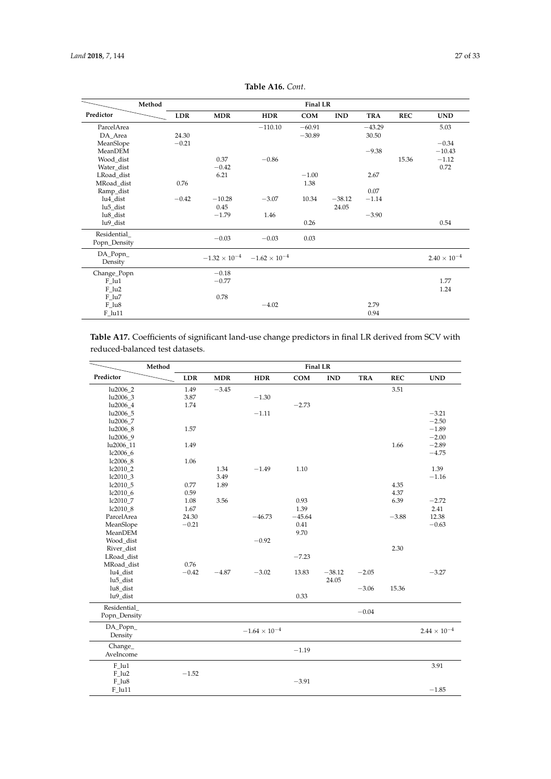|              | Method |            |                        |                        | Final LR   |            |            |            |                       |
|--------------|--------|------------|------------------------|------------------------|------------|------------|------------|------------|-----------------------|
| Predictor    |        | <b>LDR</b> | <b>MDR</b>             | <b>HDR</b>             | <b>COM</b> | <b>IND</b> | <b>TRA</b> | <b>REC</b> | <b>UND</b>            |
| ParcelArea   |        |            |                        | $-110.10$              | $-60.91$   |            | $-43.29$   |            | 5.03                  |
| DA_Area      |        | 24.30      |                        |                        | $-30.89$   |            | 30.50      |            |                       |
| MeanSlope    |        | $-0.21$    |                        |                        |            |            |            |            | $-0.34$               |
| MeanDEM      |        |            |                        |                        |            |            | $-9.38$    |            | $-10.43$              |
| Wood_dist    |        |            | 0.37                   | $-0.86$                |            |            |            | 15.36      | $-1.12$               |
| Water_dist   |        |            | $-0.42$                |                        |            |            |            |            | 0.72                  |
| LRoad_dist   |        |            | 6.21                   |                        | $-1.00$    |            | 2.67       |            |                       |
| MRoad_dist   |        | 0.76       |                        |                        | 1.38       |            |            |            |                       |
| Ramp_dist    |        |            |                        |                        |            |            | 0.07       |            |                       |
| lu4_dist     |        | $-0.42$    | $-10.28$               | $-3.07$                | 10.34      | $-38.12$   | $-1.14$    |            |                       |
| lu5_dist     |        |            | 0.45                   |                        |            | 24.05      |            |            |                       |
| lu8_dist     |        |            | $-1.79$                | 1.46                   |            |            | $-3.90$    |            |                       |
| lu9_dist     |        |            |                        |                        | 0.26       |            |            |            | 0.54                  |
| Residential_ |        |            | $-0.03$                | $-0.03$                | 0.03       |            |            |            |                       |
| Popn_Density |        |            |                        |                        |            |            |            |            |                       |
| DA_Popn_     |        |            | $-1.32 \times 10^{-4}$ | $-1.62 \times 10^{-4}$ |            |            |            |            | $2.40 \times 10^{-4}$ |
| Density      |        |            |                        |                        |            |            |            |            |                       |
| Change_Popn  |        |            | $-0.18$                |                        |            |            |            |            |                       |
| $F_l$ lu1    |        |            | $-0.77$                |                        |            |            |            |            | 1.77                  |
| $F_l$ lu2    |        |            |                        |                        |            |            |            |            | 1.24                  |
| F_lu7        |        |            | 0.78                   |                        |            |            |            |            |                       |
| F_lu8        |        |            |                        | $-4.02$                |            |            | 2.79       |            |                       |
| $F_l$ lu11   |        |            |                        |                        |            |            | 0.94       |            |                       |

**Table A16.** *Cont*.

**Table A17.** Coefficients of significant land-use change predictors in final LR derived from SCV with reduced-balanced test datasets.

| Predictor<br><b>MDR</b><br><b>COM</b><br>IND<br><b>UND</b><br><b>LDR</b><br><b>HDR</b><br><b>TRA</b><br><b>REC</b><br>1.49<br>lu2006_2<br>$-3.45$<br>3.51<br>lu2006_3<br>3.87<br>$-1.30$<br>$-2.73$<br>lu2006_4<br>1.74<br>$-1.11$<br>$-3.21$<br>lu2006_5<br>$-2.50$<br>lu2006_7<br>$-1.89$<br>lu2006_8<br>1.57<br>lu2006_9<br>$-2.00$<br>$-2.89$<br>lu2006_11<br>1.49<br>1.66<br>lc2006 6<br>$-4.75$<br>1.06<br>lc2006 8<br>1.10<br>1.39<br>lc2010_2<br>1.34<br>$-1.49$<br>3.49<br>lc2010_3<br>$-1.16$<br>lc2010_5<br>0.77<br>1.89<br>4.35<br>lc2010_6<br>0.59<br>4.37<br>3.56<br>0.93<br>$-2.72$<br>lc2010 7<br>1.08<br>6.39<br>1.39<br>2.41<br>lc2010 8<br>1.67 |
|--------------------------------------------------------------------------------------------------------------------------------------------------------------------------------------------------------------------------------------------------------------------------------------------------------------------------------------------------------------------------------------------------------------------------------------------------------------------------------------------------------------------------------------------------------------------------------------------------------------------------------------------------------------------|
|                                                                                                                                                                                                                                                                                                                                                                                                                                                                                                                                                                                                                                                                    |
|                                                                                                                                                                                                                                                                                                                                                                                                                                                                                                                                                                                                                                                                    |
|                                                                                                                                                                                                                                                                                                                                                                                                                                                                                                                                                                                                                                                                    |
|                                                                                                                                                                                                                                                                                                                                                                                                                                                                                                                                                                                                                                                                    |
|                                                                                                                                                                                                                                                                                                                                                                                                                                                                                                                                                                                                                                                                    |
|                                                                                                                                                                                                                                                                                                                                                                                                                                                                                                                                                                                                                                                                    |
|                                                                                                                                                                                                                                                                                                                                                                                                                                                                                                                                                                                                                                                                    |
|                                                                                                                                                                                                                                                                                                                                                                                                                                                                                                                                                                                                                                                                    |
|                                                                                                                                                                                                                                                                                                                                                                                                                                                                                                                                                                                                                                                                    |
|                                                                                                                                                                                                                                                                                                                                                                                                                                                                                                                                                                                                                                                                    |
|                                                                                                                                                                                                                                                                                                                                                                                                                                                                                                                                                                                                                                                                    |
|                                                                                                                                                                                                                                                                                                                                                                                                                                                                                                                                                                                                                                                                    |
|                                                                                                                                                                                                                                                                                                                                                                                                                                                                                                                                                                                                                                                                    |
|                                                                                                                                                                                                                                                                                                                                                                                                                                                                                                                                                                                                                                                                    |
|                                                                                                                                                                                                                                                                                                                                                                                                                                                                                                                                                                                                                                                                    |
|                                                                                                                                                                                                                                                                                                                                                                                                                                                                                                                                                                                                                                                                    |
|                                                                                                                                                                                                                                                                                                                                                                                                                                                                                                                                                                                                                                                                    |
| ParcelArea<br>$-46.73$<br>$-45.64$<br>12.38<br>24.30<br>$-3.88$                                                                                                                                                                                                                                                                                                                                                                                                                                                                                                                                                                                                    |
| 0.41<br>MeanSlope<br>$-0.21$<br>$-0.63$                                                                                                                                                                                                                                                                                                                                                                                                                                                                                                                                                                                                                            |
| MeanDEM<br>9.70                                                                                                                                                                                                                                                                                                                                                                                                                                                                                                                                                                                                                                                    |
| Wood_dist<br>$-0.92$                                                                                                                                                                                                                                                                                                                                                                                                                                                                                                                                                                                                                                               |
| River_dist<br>2.30                                                                                                                                                                                                                                                                                                                                                                                                                                                                                                                                                                                                                                                 |
| LRoad_dist<br>$-7.23$                                                                                                                                                                                                                                                                                                                                                                                                                                                                                                                                                                                                                                              |
| 0.76<br>MRoad dist                                                                                                                                                                                                                                                                                                                                                                                                                                                                                                                                                                                                                                                 |
| $-3.02$<br>lu4_dist<br>$-0.42$<br>$-4.87$<br>13.83<br>$-38.12$<br>$-2.05$<br>$-3.27$                                                                                                                                                                                                                                                                                                                                                                                                                                                                                                                                                                               |
| lu5_dist<br>24.05                                                                                                                                                                                                                                                                                                                                                                                                                                                                                                                                                                                                                                                  |
| 15.36<br>lu8_dist<br>$-3.06$                                                                                                                                                                                                                                                                                                                                                                                                                                                                                                                                                                                                                                       |
| lu9_dist<br>0.33                                                                                                                                                                                                                                                                                                                                                                                                                                                                                                                                                                                                                                                   |
| Residential_                                                                                                                                                                                                                                                                                                                                                                                                                                                                                                                                                                                                                                                       |
| $-0.04$                                                                                                                                                                                                                                                                                                                                                                                                                                                                                                                                                                                                                                                            |
| Popn_Density                                                                                                                                                                                                                                                                                                                                                                                                                                                                                                                                                                                                                                                       |
| DA_Popn_<br>$-1.64 \times 10^{-4}$<br>$2.44 \times 10^{-4}$                                                                                                                                                                                                                                                                                                                                                                                                                                                                                                                                                                                                        |
| Density                                                                                                                                                                                                                                                                                                                                                                                                                                                                                                                                                                                                                                                            |
| Change_                                                                                                                                                                                                                                                                                                                                                                                                                                                                                                                                                                                                                                                            |
| $-1.19$<br>AveIncome                                                                                                                                                                                                                                                                                                                                                                                                                                                                                                                                                                                                                                               |
| F_lu1<br>3.91                                                                                                                                                                                                                                                                                                                                                                                                                                                                                                                                                                                                                                                      |
| F_lu2<br>$-1.52$                                                                                                                                                                                                                                                                                                                                                                                                                                                                                                                                                                                                                                                   |
| F_lu8<br>$-3.91$                                                                                                                                                                                                                                                                                                                                                                                                                                                                                                                                                                                                                                                   |
| $F_l$ lu11<br>$-1.85$                                                                                                                                                                                                                                                                                                                                                                                                                                                                                                                                                                                                                                              |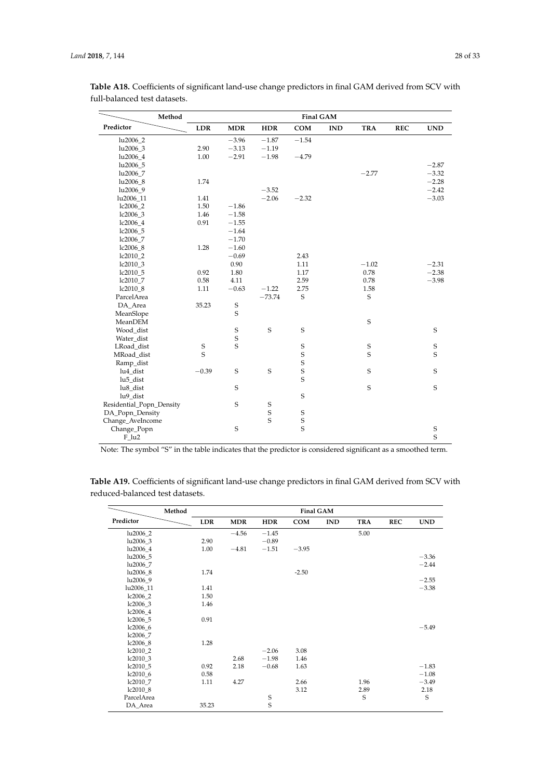| Method                   |             | <b>Final GAM</b>        |               |                         |     |                         |            |                         |  |
|--------------------------|-------------|-------------------------|---------------|-------------------------|-----|-------------------------|------------|-------------------------|--|
| Predictor                | <b>LDR</b>  | <b>MDR</b>              | <b>HDR</b>    | <b>COM</b>              | IND | <b>TRA</b>              | <b>REC</b> | <b>UND</b>              |  |
| lu2006_2                 |             | $-3.96$                 | $-1.87$       | $-1.54$                 |     |                         |            |                         |  |
| lu2006_3                 | 2.90        | $-3.13$                 | $-1.19$       |                         |     |                         |            |                         |  |
| lu2006_4                 | 1.00        | $-2.91$                 | $-1.98$       | $-4.79$                 |     |                         |            |                         |  |
| lu2006_5                 |             |                         |               |                         |     |                         |            | $-2.87$                 |  |
| lu2006_7                 |             |                         |               |                         |     | $-2.77$                 |            | $-3.32$                 |  |
| lu2006_8                 | 1.74        |                         |               |                         |     |                         |            | $-2.28$                 |  |
| lu2006_9                 |             |                         | $-3.52$       |                         |     |                         |            | $-2.42$                 |  |
| lu2006_11                | 1.41        |                         | $-2.06$       | $-2.32$                 |     |                         |            | $-3.03$                 |  |
| lc2006_2                 | 1.50        | $-1.86$                 |               |                         |     |                         |            |                         |  |
| lc2006_3                 | 1.46        | $-1.58$                 |               |                         |     |                         |            |                         |  |
| $lc2006_4$               | 0.91        | $-1.55$                 |               |                         |     |                         |            |                         |  |
| lc2006_5                 |             | $-1.64$                 |               |                         |     |                         |            |                         |  |
| lc2006_7                 |             | $-1.70$                 |               |                         |     |                         |            |                         |  |
| lc2006_8                 | 1.28        | $-1.60$                 |               |                         |     |                         |            |                         |  |
| lc2010 2                 |             | $-0.69$                 |               | 2.43                    |     |                         |            |                         |  |
| $lc2010_3$               |             | 0.90                    |               | 1.11                    |     | $-1.02$                 |            | $-2.31$                 |  |
| lc2010_5                 | 0.92        | 1.80                    |               | 1.17                    |     | 0.78                    |            | $-2.38$                 |  |
| lc2010_7                 | 0.58        | 4.11                    |               | 2.59                    |     | 0.78                    |            | $-3.98$                 |  |
| lc2010_8                 | 1.11        | $-0.63$                 | $-1.22$       | 2.75                    |     | 1.58                    |            |                         |  |
| ParcelArea               |             |                         | $-73.74$      | S                       |     | S                       |            |                         |  |
| DA_Area                  | 35.23       | $\mathbf S$             |               |                         |     |                         |            |                         |  |
| MeanSlope                |             | $\mathbf S$             |               |                         |     |                         |            |                         |  |
| MeanDEM                  |             |                         |               |                         |     | S                       |            |                         |  |
| Wood_dist                |             | $\frac{S}{S}$           | S             | S                       |     |                         |            | $\mathbf S$             |  |
| Water_dist               |             |                         |               |                         |     |                         |            |                         |  |
| LRoad_dist               | $\mathbf S$ | $\overline{\mathbf{s}}$ |               | S                       |     | $\mathbf S$             |            | $\mathbf S$             |  |
| MRoad_dist               | $\mathbf S$ |                         |               | $\mathsf{s}$            |     | $\overline{\mathsf{s}}$ |            | $\overline{\mathbf{s}}$ |  |
| Ramp_dist                |             |                         |               | $\mathsf S$             |     |                         |            |                         |  |
| lu4_dist                 | $-0.39$     | S                       | S             | $\mathsf S$             |     | S                       |            | S                       |  |
| lu5_dist                 |             |                         |               | S                       |     |                         |            |                         |  |
| lu8_dist                 |             | S                       |               |                         |     | S                       |            | $\mathbf S$             |  |
| lu9_dist                 |             |                         |               | S                       |     |                         |            |                         |  |
| Residential_Popn_Density |             | S                       |               |                         |     |                         |            |                         |  |
| DA_Popn_Density          |             |                         | $\frac{S}{S}$ | $\mathbf S$             |     |                         |            |                         |  |
| Change_AveIncome         |             |                         |               | $\mathsf S$             |     |                         |            |                         |  |
| Change_Popn              |             | S                       |               | $\overline{\mathbf{s}}$ |     |                         |            | $\mathbf S$             |  |
| F lu2                    |             |                         |               |                         |     |                         |            | S                       |  |

**Table A18.** Coefficients of significant land-use change predictors in final GAM derived from SCV with full-balanced test datasets.

Note: The symbol "S" in the table indicates that the predictor is considered significant as a smoothed term.

**Table A19.** Coefficients of significant land-use change predictors in final GAM derived from SCV with reduced-balanced test datasets.

|            | Method |            |            |            | <b>Final GAM</b> |            |            |            |            |
|------------|--------|------------|------------|------------|------------------|------------|------------|------------|------------|
| Predictor  |        |            |            |            |                  |            |            |            |            |
|            |        | <b>LDR</b> | <b>MDR</b> | <b>HDR</b> | <b>COM</b>       | <b>IND</b> | <b>TRA</b> | <b>REC</b> | <b>UND</b> |
| lu2006_2   |        |            | $-4.56$    | $-1.45$    |                  |            | 5.00       |            |            |
| lu2006_3   |        | 2.90       |            | $-0.89$    |                  |            |            |            |            |
| lu2006 4   |        | 1.00       | $-4.81$    | $-1.51$    | $-3.95$          |            |            |            |            |
| lu2006_5   |        |            |            |            |                  |            |            |            | $-3.36$    |
| lu2006 7   |        |            |            |            |                  |            |            |            | $-2.44$    |
| lu2006_8   |        | 1.74       |            |            | $-2.50$          |            |            |            |            |
| lu2006 9   |        |            |            |            |                  |            |            |            | $-2.55$    |
| lu2006_11  |        | 1.41       |            |            |                  |            |            |            | $-3.38$    |
| lc2006 2   |        | 1.50       |            |            |                  |            |            |            |            |
| lc2006_3   |        | 1.46       |            |            |                  |            |            |            |            |
| lc2006_4   |        |            |            |            |                  |            |            |            |            |
| lc2006_5   |        | 0.91       |            |            |                  |            |            |            |            |
| $lc2006_6$ |        |            |            |            |                  |            |            |            | $-5.49$    |
| lc2006 7   |        |            |            |            |                  |            |            |            |            |
| $lc2006_8$ |        | 1.28       |            |            |                  |            |            |            |            |
| lc2010 2   |        |            |            | $-2.06$    | 3.08             |            |            |            |            |
| $lc2010_3$ |        |            | 2.68       | $-1.98$    | 1.46             |            |            |            |            |
| lc2010 5   |        | 0.92       | 2.18       | $-0.68$    | 1.63             |            |            |            | $-1.83$    |
| lc2010_6   |        | 0.58       |            |            |                  |            |            |            | $-1.08$    |
| lc2010_7   |        | 1.11       | 4.27       |            | 2.66             |            | 1.96       |            | $-3.49$    |
| lc2010 8   |        |            |            |            | 3.12             |            | 2.89       |            | 2.18       |
| ParcelArea |        |            |            | S          |                  |            | S          |            | S          |
| DA_Area    |        | 35.23      |            | S          |                  |            |            |            |            |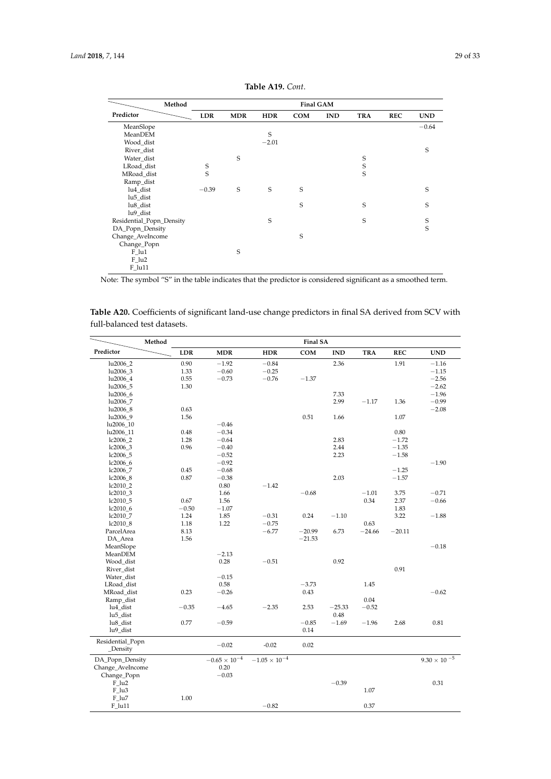|                          | Method |            |            |            | <b>Final GAM</b> |            |            |            |            |
|--------------------------|--------|------------|------------|------------|------------------|------------|------------|------------|------------|
| Predictor                |        | <b>LDR</b> | <b>MDR</b> | <b>HDR</b> | <b>COM</b>       | <b>IND</b> | <b>TRA</b> | <b>REC</b> | <b>UND</b> |
| MeanSlope                |        |            |            |            |                  |            |            |            | $-0.64$    |
| MeanDEM                  |        |            |            | S          |                  |            |            |            |            |
| Wood_dist                |        |            |            | $-2.01$    |                  |            |            |            |            |
| River_dist               |        |            |            |            |                  |            |            |            | S          |
| Water_dist               |        |            | S          |            |                  |            | S          |            |            |
| LRoad_dist               |        | S          |            |            |                  |            | S          |            |            |
| MRoad dist               |        | S          |            |            |                  |            | S          |            |            |
| Ramp_dist                |        |            |            |            |                  |            |            |            |            |
| lu4_dist                 |        | $-0.39$    | S          | S          | S                |            |            |            | S          |
| lu5_dist                 |        |            |            |            |                  |            |            |            |            |
| lu8_dist                 |        |            |            |            | S                |            | S          |            | S          |
| lu9_dist                 |        |            |            |            |                  |            |            |            |            |
| Residential_Popn_Density |        |            |            | S          |                  |            | S          |            | S          |
| DA_Popn_Density          |        |            |            |            |                  |            |            |            | S          |
| Change_AveIncome         |        |            |            |            | S                |            |            |            |            |
| Change_Popn              |        |            |            |            |                  |            |            |            |            |
| F_lu1                    |        |            | S          |            |                  |            |            |            |            |
| $F_{ll}$                 |        |            |            |            |                  |            |            |            |            |
| $F_l$ lu11               |        |            |            |            |                  |            |            |            |            |

| Table A19. Cont. |  |
|------------------|--|
|------------------|--|

Note: The symbol "S" in the table indicates that the predictor is considered significant as a smoothed term.

**Table A20.** Coefficients of significant land-use change predictors in final SA derived from SCV with full-balanced test datasets.

|                                 | $\mathbf{Method}$ |            |                        |                        | Final SA |            |            |            |                            |
|---------------------------------|-------------------|------------|------------------------|------------------------|----------|------------|------------|------------|----------------------------|
| Predictor                       |                   | <b>LDR</b> | MDR                    | <b>HDR</b>             | COM      | <b>IND</b> | <b>TRA</b> | <b>REC</b> | <b>UND</b>                 |
| lu2006_2                        |                   | 0.90       | $-1.92$                | $-0.84$                |          | 2.36       |            | 1.91       | $-1.16$                    |
| lu2006 3                        |                   | 1.33       | $-0.60$                | $-0.25$                |          |            |            |            | $-1.15$                    |
| lu2006_4                        |                   | 0.55       | $-0.73$                | $-0.76$                | $-1.37$  |            |            |            | $-2.56$                    |
| lu2006_5                        |                   | 1.30       |                        |                        |          |            |            |            | $-2.62$                    |
| lu2006_6                        |                   |            |                        |                        |          | 7.33       |            |            | $-1.96$                    |
| lu2006 7                        |                   |            |                        |                        |          | 2.99       | $-1.17$    | 1.36       | $-0.99$                    |
| lu2006_8                        |                   | 0.63       |                        |                        |          |            |            |            | $-2.08$                    |
| lu2006_9                        |                   | 1.56       |                        |                        | 0.51     | 1.66       |            | 1.07       |                            |
| lu2006_10                       |                   |            | $-0.46$                |                        |          |            |            |            |                            |
| lu2006_11                       |                   | 0.48       | $-0.34$                |                        |          |            |            | 0.80       |                            |
| lc2006_2                        |                   | 1.28       | $-0.64$                |                        |          | 2.83       |            | $-1.72$    |                            |
| lc2006_3                        |                   | 0.96       | $-0.40$                |                        |          | 2.44       |            | $-1.35$    |                            |
| lc2006_5                        |                   |            | $-0.52$                |                        |          | 2.23       |            | $-1.58$    |                            |
| lc2006 6                        |                   |            | $-0.92$                |                        |          |            |            |            | $-1.90$                    |
| lc2006_7                        |                   | 0.45       | $-0.68$                |                        |          |            |            | $-1.25$    |                            |
| lc2006_8                        |                   | 0.87       | $-0.38$                |                        |          | 2.03       |            | $-1.57$    |                            |
| lc2010_2                        |                   |            | $0.80\,$               | $-1.42$                |          |            |            |            |                            |
| lc2010 3                        |                   |            | 1.66                   |                        | $-0.68$  |            | $-1.01$    | 3.75       | $-0.71$                    |
| lc2010_5                        |                   | 0.67       | 1.56                   |                        |          |            | 0.34       | 2.37       | $-0.66$                    |
| lc2010_6                        |                   | $-0.50$    | $-1.07$                |                        |          |            |            | 1.83       |                            |
| lc2010_7                        |                   | 1.24       | 1.85                   | $-0.31$                | 0.24     | $-1.10$    |            | 3.22       | $-1.88$                    |
| lc2010 8                        |                   | 1.18       | 1.22                   | $-0.75$                |          |            | 0.63       |            |                            |
| ParcelArea                      |                   | 8.13       |                        | $-6.77$                | $-20.99$ | 6.73       | $-24.66$   | $-20.11$   |                            |
| DA_Area                         |                   | 1.56       |                        |                        | $-21.53$ |            |            |            |                            |
| MeanSlope                       |                   |            |                        |                        |          |            |            |            | $-0.18$                    |
| MeanDEM                         |                   |            | $-2.13$                |                        |          |            |            |            |                            |
| Wood_dist                       |                   |            | 0.28                   | $-0.51$                |          | 0.92       |            |            |                            |
| River_dist                      |                   |            |                        |                        |          |            |            | 0.91       |                            |
| Water dist                      |                   |            | $-0.15$                |                        |          |            |            |            |                            |
| LRoad_dist                      |                   |            | 0.58                   |                        | $-3.73$  |            | 1.45       |            |                            |
| MRoad_dist                      |                   | 0.23       | $-0.26$                |                        | 0.43     |            |            |            | $-0.62$                    |
| Ramp_dist                       |                   |            |                        |                        |          |            | 0.04       |            |                            |
| lu4 dist                        |                   | $-0.35$    | $-4.65$                | $-2.35$                | 2.53     | $-25.33$   | $-0.52$    |            |                            |
| lu5_dist                        |                   |            |                        |                        |          | 0.48       |            |            |                            |
| lu8_dist                        |                   | 0.77       | $-0.59$                |                        | $-0.85$  | $-1.69$    | $-1.96$    | 2.68       | 0.81                       |
| lu9_dist                        |                   |            |                        |                        | 0.14     |            |            |            |                            |
|                                 |                   |            |                        |                        |          |            |            |            |                            |
| Residential_Popn<br>$_D$ ensity |                   |            | $-0.02$                | $-0.02$                | 0.02     |            |            |            |                            |
|                                 |                   |            |                        |                        |          |            |            |            |                            |
| DA_Popn_Density                 |                   |            | $-0.65 \times 10^{-4}$ | $-1.05 \times 10^{-4}$ |          |            |            |            | $9.30$ $\times$ 10 $^{-5}$ |
| Change_AveIncome                |                   |            | 0.20                   |                        |          |            |            |            |                            |
| Change_Popn                     |                   |            | $-0.03$                |                        |          |            |            |            |                            |
| F_lu2                           |                   |            |                        |                        |          | $-0.39$    |            |            | 0.31                       |
| F_lu3                           |                   |            |                        |                        |          |            | 1.07       |            |                            |
| F_lu7                           |                   | 1.00       |                        |                        |          |            |            |            |                            |
| $F_l$ lu11                      |                   |            |                        | $-0.82$                |          |            | 0.37       |            |                            |
|                                 |                   |            |                        |                        |          |            |            |            |                            |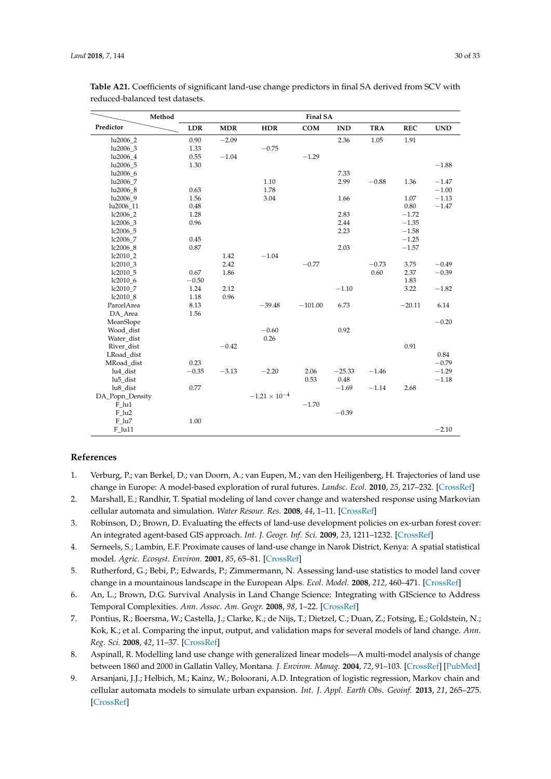| Method          |            | <b>Final SA</b> |                        |            |            |            |            |            |
|-----------------|------------|-----------------|------------------------|------------|------------|------------|------------|------------|
| Predictor       | <b>LDR</b> | <b>MDR</b>      | <b>HDR</b>             | <b>COM</b> | <b>IND</b> | <b>TRA</b> | <b>REC</b> | <b>UND</b> |
| lu2006 2        | 0.90       | $-2.09$         |                        |            | 2.36       | 1.05       | 1.91       |            |
| lu2006 3        | 1.33       |                 | $-0.75$                |            |            |            |            |            |
| lu2006 4        | 0.55       | $-1.04$         |                        | $-1.29$    |            |            |            |            |
| lu2006 5        | 1.30       |                 |                        |            |            |            |            | $-1.88$    |
| lu2006 6        |            |                 |                        |            | 7.33       |            |            |            |
| lu2006_7        |            |                 | 1.10                   |            | 2.99       | $-0.88$    | 1.36       | $-1.47$    |
| lu2006 8        | 0.63       |                 | 1.78                   |            |            |            |            | $-1.00$    |
| lu2006 9        | 1.56       |                 | 3.04                   |            | 1.66       |            | 1.07       | $-1.13$    |
| lu2006 11       | 0.48       |                 |                        |            |            |            | 0.80       | $-1.47$    |
| lc2006_2        | 1.28       |                 |                        |            | 2.83       |            | $-1.72$    |            |
| lc2006_3        | 0.96       |                 |                        |            | 2.44       |            | $-1.35$    |            |
| lc2006_5        |            |                 |                        |            | 2.23       |            | $-1.58$    |            |
| lc2006_7        | 0.45       |                 |                        |            |            |            | $-1.25$    |            |
| lc2006 8        | 0.87       |                 |                        |            | 2.03       |            | $-1.57$    |            |
| lc2010 2        |            | 1.42            | $-1.04$                |            |            |            |            |            |
| lc2010_3        |            | 2.42            |                        | $-0.77$    |            | $-0.73$    | 3.75       | $-0.49$    |
| lc2010_5        | 0.67       | 1.86            |                        |            |            | 0.60       | 2.37       | $-0.39$    |
| lc2010 6        | $-0.50$    |                 |                        |            |            |            | 1.83       |            |
| lc2010 7        | 1.24       | 2.12            |                        |            | $-1.10$    |            | 3.22       | $-1.82$    |
| lc2010_8        | 1.18       | 0.96            |                        |            |            |            |            |            |
| ParcelArea      | 8.13       |                 | $-39.48$               | $-101.00$  | 6.73       |            | $-20.11$   | 6.14       |
| DA_Area         | 1.56       |                 |                        |            |            |            |            |            |
| MeanSlope       |            |                 |                        |            |            |            |            | $-0.20$    |
| Wood_dist       |            |                 | $-0.60$                |            | 0.92       |            |            |            |
| Water_dist      |            |                 | 0.26                   |            |            |            |            |            |
| River_dist      |            | $-0.42$         |                        |            |            |            | 0.91       |            |
| LRoad_dist      |            |                 |                        |            |            |            |            | 0.84       |
| MRoad dist      | 0.23       |                 |                        |            |            |            |            | $-0.79$    |
| lu4 dist        | $-0.35$    | $-3.13$         | $-2.20$                | 2.06       | $-25.33$   | $-1.46$    |            | $-1.29$    |
| lu5_dist        |            |                 |                        | 0.53       | 0.48       |            |            | $-1.18$    |
| lu8_dist        | 0.77       |                 |                        |            | $-1.69$    | $-1.14$    | 2.68       |            |
| DA_Popn_Density |            |                 | $-1.21 \times 10^{-4}$ |            |            |            |            |            |
| F_lu1           |            |                 |                        | $-1.70$    |            |            |            |            |
| F_lu2           |            |                 |                        |            | $-0.39$    |            |            |            |
| F_lu7           | 1.00       |                 |                        |            |            |            |            |            |
| $F_l$ lu11      |            |                 |                        |            |            |            |            | $-2.10$    |

**Table A21.** Coefficients of significant land-use change predictors in final SA derived from SCV with reduced-balanced test datasets.

## **References**

- <span id="page-29-0"></span>1. Verburg, P.; van Berkel, D.; van Doorn, A.; van Eupen, M.; van den Heiligenberg, H. Trajectories of land use change in Europe: A model-based exploration of rural futures. *Landsc. Ecol.* **2010**, *25*, 217–232. [\[CrossRef\]](http://dx.doi.org/10.1007/s10980-009-9347-7)
- <span id="page-29-1"></span>2. Marshall, E.; Randhir, T. Spatial modeling of land cover change and watershed response using Markovian cellular automata and simulation. *Water Resour. Res.* **2008**, *44*, 1–11. [\[CrossRef\]](http://dx.doi.org/10.1029/2006WR005514)
- <span id="page-29-2"></span>3. Robinson, D.; Brown, D. Evaluating the effects of land-use development policies on ex-urban forest cover: An integrated agent-based GIS approach. *Int. J. Geogr. Inf. Sci.* **2009**, *23*, 1211–1232. [\[CrossRef\]](http://dx.doi.org/10.1080/13658810802344101)
- <span id="page-29-3"></span>4. Serneels, S.; Lambin, E.F. Proximate causes of land-use change in Narok District, Kenya: A spatial statistical model. *Agric. Ecosyst. Environ.* **2001**, *85*, 65–81. [\[CrossRef\]](http://dx.doi.org/10.1016/S0167-8809(01)00188-8)
- <span id="page-29-4"></span>5. Rutherford, G.; Bebi, P.; Edwards, P.; Zimmermann, N. Assessing land-use statistics to model land cover change in a mountainous landscape in the European Alps. *Ecol. Model.* **2008**, *212*, 460–471. [\[CrossRef\]](http://dx.doi.org/10.1016/j.ecolmodel.2007.10.050)
- <span id="page-29-5"></span>6. An, L.; Brown, D.G. Survival Analysis in Land Change Science: Integrating with GIScience to Address Temporal Complexities. *Ann. Assoc. Am. Geogr.* **2008**, *98*, 1–22. [\[CrossRef\]](http://dx.doi.org/10.1080/00045600701879045)
- <span id="page-29-6"></span>7. Pontius, R.; Boersma, W.; Castella, J.; Clarke, K.; de Nijs, T.; Dietzel, C.; Duan, Z.; Fotsing, E.; Goldstein, N.; Kok, K.; et al. Comparing the input, output, and validation maps for several models of land change. *Ann. Reg. Sci.* **2008**, *42*, 11–37. [\[CrossRef\]](http://dx.doi.org/10.1007/s00168-007-0138-2)
- <span id="page-29-7"></span>8. Aspinall, R. Modelling land use change with generalized linear models—A multi-model analysis of change between 1860 and 2000 in Gallatin Valley, Montana. *J. Environ. Manag.* **2004**, *72*, 91–103. [\[CrossRef\]](http://dx.doi.org/10.1016/j.jenvman.2004.02.009) [\[PubMed\]](http://www.ncbi.nlm.nih.gov/pubmed/15246576)
- <span id="page-29-8"></span>9. Arsanjani, J.J.; Helbich, M.; Kainz, W.; Boloorani, A.D. Integration of logistic regression, Markov chain and cellular automata models to simulate urban expansion. *Int. J. Appl. Earth Obs. Geoinf.* **2013**, *21*, 265–275. [\[CrossRef\]](http://dx.doi.org/10.1016/j.jag.2011.12.014)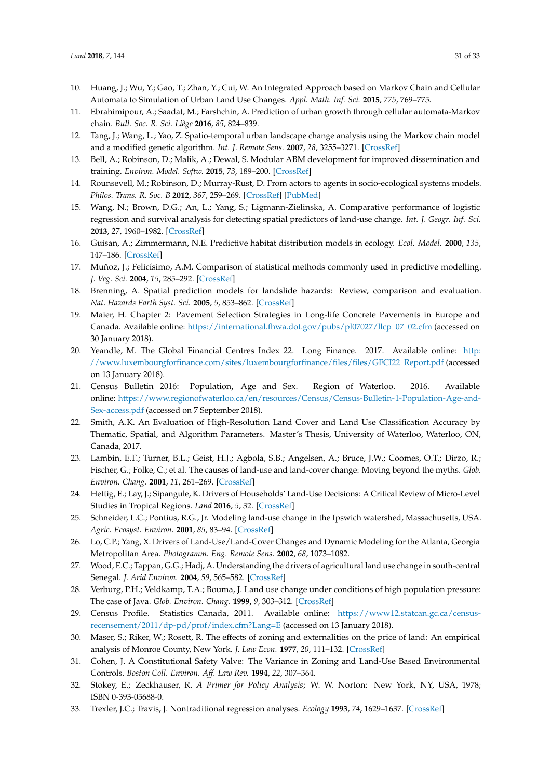- <span id="page-30-0"></span>10. Huang, J.; Wu, Y.; Gao, T.; Zhan, Y.; Cui, W. An Integrated Approach based on Markov Chain and Cellular Automata to Simulation of Urban Land Use Changes. *Appl. Math. Inf. Sci.* **2015**, *775*, 769–775.
- <span id="page-30-1"></span>11. Ebrahimipour, A.; Saadat, M.; Farshchin, A. Prediction of urban growth through cellular automata-Markov chain. *Bull. Soc. R. Sci. Liège* **2016**, *85*, 824–839.
- <span id="page-30-2"></span>12. Tang, J.; Wang, L.; Yao, Z. Spatio-temporal urban landscape change analysis using the Markov chain model and a modified genetic algorithm. *Int. J. Remote Sens.* **2007**, *28*, 3255–3271. [\[CrossRef\]](http://dx.doi.org/10.1080/01431160600962749)
- <span id="page-30-3"></span>13. Bell, A.; Robinson, D.; Malik, A.; Dewal, S. Modular ABM development for improved dissemination and training. *Environ. Model. Softw.* **2015**, *73*, 189–200. [\[CrossRef\]](http://dx.doi.org/10.1016/j.envsoft.2015.07.016)
- <span id="page-30-4"></span>14. Rounsevell, M.; Robinson, D.; Murray-Rust, D. From actors to agents in socio-ecological systems models. *Philos. Trans. R. Soc. B* **2012**, *367*, 259–269. [\[CrossRef\]](http://dx.doi.org/10.1098/rstb.2011.0187) [\[PubMed\]](http://www.ncbi.nlm.nih.gov/pubmed/22144388)
- <span id="page-30-5"></span>15. Wang, N.; Brown, D.G.; An, L.; Yang, S.; Ligmann-Zielinska, A. Comparative performance of logistic regression and survival analysis for detecting spatial predictors of land-use change. *Int. J. Geogr. Inf. Sci.* **2013**, *27*, 1960–1982. [\[CrossRef\]](http://dx.doi.org/10.1080/13658816.2013.779377)
- <span id="page-30-6"></span>16. Guisan, A.; Zimmermann, N.E. Predictive habitat distribution models in ecology. *Ecol. Model.* **2000**, *135*, 147–186. [\[CrossRef\]](http://dx.doi.org/10.1016/S0304-3800(00)00354-9)
- <span id="page-30-7"></span>17. Muñoz, J.; Felicísimo, A.M. Comparison of statistical methods commonly used in predictive modelling. *J. Veg. Sci.* **2004**, *15*, 285–292. [\[CrossRef\]](http://dx.doi.org/10.1111/j.1654-1103.2004.tb02263.x)
- <span id="page-30-8"></span>18. Brenning, A. Spatial prediction models for landslide hazards: Review, comparison and evaluation. *Nat. Hazards Earth Syst. Sci.* **2005**, *5*, 853–862. [\[CrossRef\]](http://dx.doi.org/10.5194/nhess-5-853-2005)
- <span id="page-30-9"></span>19. Maier, H. Chapter 2: Pavement Selection Strategies in Long-life Concrete Pavements in Europe and Canada. Available online: [https://international.fhwa.dot.gov/pubs/pl07027/llcp\\_07\\_02.cfm](https://international.fhwa.dot.gov/pubs/pl07027/llcp_07_02.cfm) (accessed on 30 January 2018).
- <span id="page-30-10"></span>20. Yeandle, M. The Global Financial Centres Index 22. Long Finance. 2017. Available online: [http:](http://www.luxembourgforfinance.com/sites/luxembourgforfinance/files/files/GFCI22_Report.pdf) [//www.luxembourgforfinance.com/sites/luxembourgforfinance/files/files/GFCI22\\_Report.pdf](http://www.luxembourgforfinance.com/sites/luxembourgforfinance/files/files/GFCI22_Report.pdf) (accessed on 13 January 2018).
- <span id="page-30-11"></span>21. Census Bulletin 2016: Population, Age and Sex. Region of Waterloo. 2016. Available online: [https://www.regionofwaterloo.ca/en/resources/Census/Census-Bulletin-1-Population-Age-and-](https://www.regionofwaterloo.ca/en/resources/Census/Census-Bulletin-1-Population-Age-and-Sex-access.pdf)[Sex-access.pdf](https://www.regionofwaterloo.ca/en/resources/Census/Census-Bulletin-1-Population-Age-and-Sex-access.pdf) (accessed on 7 September 2018).
- <span id="page-30-12"></span>22. Smith, A.K. An Evaluation of High-Resolution Land Cover and Land Use Classification Accuracy by Thematic, Spatial, and Algorithm Parameters. Master's Thesis, University of Waterloo, Waterloo, ON, Canada, 2017.
- <span id="page-30-13"></span>23. Lambin, E.F.; Turner, B.L.; Geist, H.J.; Agbola, S.B.; Angelsen, A.; Bruce, J.W.; Coomes, O.T.; Dirzo, R.; Fischer, G.; Folke, C.; et al. The causes of land-use and land-cover change: Moving beyond the myths. *Glob. Environ. Chang.* **2001**, *11*, 261–269. [\[CrossRef\]](http://dx.doi.org/10.1016/S0959-3780(01)00007-3)
- <span id="page-30-14"></span>24. Hettig, E.; Lay, J.; Sipangule, K. Drivers of Households' Land-Use Decisions: A Critical Review of Micro-Level Studies in Tropical Regions. *Land* **2016**, *5*, 32. [\[CrossRef\]](http://dx.doi.org/10.3390/land5040032)
- <span id="page-30-15"></span>25. Schneider, L.C.; Pontius, R.G., Jr. Modeling land-use change in the Ipswich watershed, Massachusetts, USA. *Agric. Ecosyst. Environ.* **2001**, *85*, 83–94. [\[CrossRef\]](http://dx.doi.org/10.1016/S0167-8809(01)00189-X)
- <span id="page-30-16"></span>26. Lo, C.P.; Yang, X. Drivers of Land-Use/Land-Cover Changes and Dynamic Modeling for the Atlanta, Georgia Metropolitan Area. *Photogramm. Eng. Remote Sens.* **2002**, *68*, 1073–1082.
- <span id="page-30-17"></span>27. Wood, E.C.; Tappan, G.G.; Hadj, A. Understanding the drivers of agricultural land use change in south-central Senegal. *J. Arid Environ.* **2004**, *59*, 565–582. [\[CrossRef\]](http://dx.doi.org/10.1016/j.jaridenv.2004.03.022)
- <span id="page-30-18"></span>28. Verburg, P.H.; Veldkamp, T.A.; Bouma, J. Land use change under conditions of high population pressure: The case of Java. *Glob. Environ. Chang.* **1999**, *9*, 303–312. [\[CrossRef\]](http://dx.doi.org/10.1016/S0959-3780(99)00175-2)
- <span id="page-30-19"></span>29. Census Profile. Statistics Canada, 2011. Available online: [https://www12.statcan.gc.ca/census](https://www12.statcan.gc.ca/census-recensement/2011/dp-pd/prof/index.cfm?Lang=E)[recensement/2011/dp-pd/prof/index.cfm?Lang=E](https://www12.statcan.gc.ca/census-recensement/2011/dp-pd/prof/index.cfm?Lang=E) (accessed on 13 January 2018).
- <span id="page-30-20"></span>30. Maser, S.; Riker, W.; Rosett, R. The effects of zoning and externalities on the price of land: An empirical analysis of Monroe County, New York. *J. Law Econ.* **1977**, *20*, 111–132. [\[CrossRef\]](http://dx.doi.org/10.1086/466894)
- <span id="page-30-21"></span>31. Cohen, J. A Constitutional Safety Valve: The Variance in Zoning and Land-Use Based Environmental Controls. *Boston Coll. Environ. Aff. Law Rev.* **1994**, *22*, 307–364.
- <span id="page-30-22"></span>32. Stokey, E.; Zeckhauser, R. *A Primer for Policy Analysis*; W. W. Norton: New York, NY, USA, 1978; ISBN 0-393-05688-0.
- <span id="page-30-23"></span>33. Trexler, J.C.; Travis, J. Nontraditional regression analyses. *Ecology* **1993**, *74*, 1629–1637. [\[CrossRef\]](http://dx.doi.org/10.2307/1939921)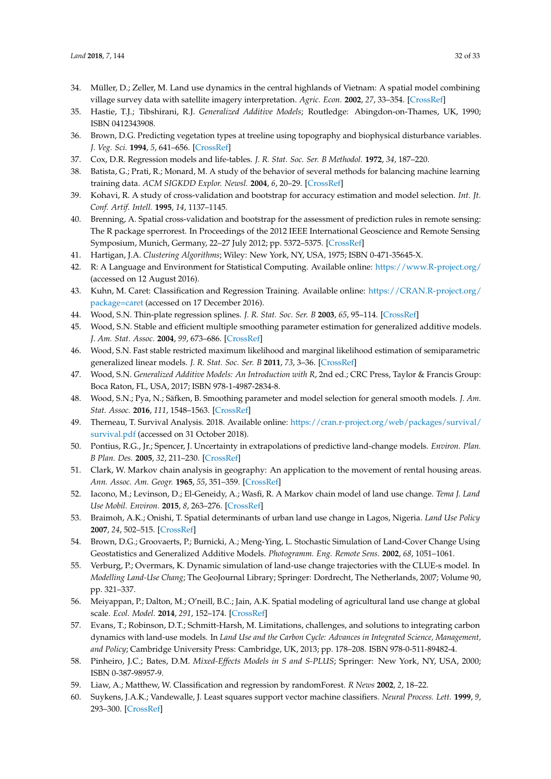- <span id="page-31-0"></span>34. Müller, D.; Zeller, M. Land use dynamics in the central highlands of Vietnam: A spatial model combining village survey data with satellite imagery interpretation. *Agric. Econ.* **2002**, *27*, 33–354. [\[CrossRef\]](http://dx.doi.org/10.1111/j.1574-0862.2002.tb00124.x)
- <span id="page-31-1"></span>35. Hastie, T.J.; Tibshirani, R.J. *Generalized Additive Models*; Routledge: Abingdon-on-Thames, UK, 1990; ISBN 0412343908.
- <span id="page-31-2"></span>36. Brown, D.G. Predicting vegetation types at treeline using topography and biophysical disturbance variables. *J. Veg. Sci.* **1994**, *5*, 641–656. [\[CrossRef\]](http://dx.doi.org/10.2307/3235880)
- <span id="page-31-3"></span>37. Cox, D.R. Regression models and life-tables. *J. R. Stat. Soc. Ser. B Methodol.* **1972**, *34*, 187–220.
- <span id="page-31-4"></span>38. Batista, G.; Prati, R.; Monard, M. A study of the behavior of several methods for balancing machine learning training data. *ACM SIGKDD Explor. Newsl.* **2004**, *6*, 20–29. [\[CrossRef\]](http://dx.doi.org/10.1145/1007730.1007735)
- <span id="page-31-5"></span>39. Kohavi, R. A study of cross-validation and bootstrap for accuracy estimation and model selection. *Int. Jt. Conf. Artif. Intell.* **1995**, *14*, 1137–1145.
- <span id="page-31-6"></span>40. Brenning, A. Spatial cross-validation and bootstrap for the assessment of prediction rules in remote sensing: The R package sperrorest. In Proceedings of the 2012 IEEE International Geoscience and Remote Sensing Symposium, Munich, Germany, 22–27 July 2012; pp. 5372–5375. [\[CrossRef\]](http://dx.doi.org/10.1109/IGARSS.2012.6352393)
- <span id="page-31-7"></span>41. Hartigan, J.A. *Clustering Algorithms*; Wiley: New York, NY, USA, 1975; ISBN 0-471-35645-X.
- <span id="page-31-8"></span>42. R: A Language and Environment for Statistical Computing. Available online: <https://www.R-project.org/> (accessed on 12 August 2016).
- <span id="page-31-9"></span>43. Kuhn, M. Caret: Classification and Regression Training. Available online: [https://CRAN.R-project.org/](https://CRAN.R-project.org/package=caret) [package=caret](https://CRAN.R-project.org/package=caret) (accessed on 17 December 2016).
- <span id="page-31-10"></span>44. Wood, S.N. Thin-plate regression splines. *J. R. Stat. Soc. Ser. B* **2003**, *65*, 95–114. [\[CrossRef\]](http://dx.doi.org/10.1111/1467-9868.00374)
- 45. Wood, S.N. Stable and efficient multiple smoothing parameter estimation for generalized additive models. *J. Am. Stat. Assoc.* **2004**, *99*, 673–686. [\[CrossRef\]](http://dx.doi.org/10.1198/016214504000000980)
- 46. Wood, S.N. Fast stable restricted maximum likelihood and marginal likelihood estimation of semiparametric generalized linear models. *J. R. Stat. Soc. Ser. B* **2011**, *73*, 3–36. [\[CrossRef\]](http://dx.doi.org/10.1111/j.1467-9868.2010.00749.x)
- 47. Wood, S.N. *Generalized Additive Models: An Introduction with R*, 2nd ed.; CRC Press, Taylor & Francis Group: Boca Raton, FL, USA, 2017; ISBN 978-1-4987-2834-8.
- <span id="page-31-11"></span>48. Wood, S.N.; Pya, N.; Säfken, B. Smoothing parameter and model selection for general smooth models. *J. Am. Stat. Assoc.* **2016**, *111*, 1548–1563. [\[CrossRef\]](http://dx.doi.org/10.1080/01621459.2016.1180986)
- <span id="page-31-12"></span>49. Therneau, T. Survival Analysis. 2018. Available online: [https://cran.r-project.org/web/packages/survival/](https://cran.r-project.org/web/packages/survival/survival.pdf) [survival.pdf](https://cran.r-project.org/web/packages/survival/survival.pdf) (accessed on 31 October 2018).
- <span id="page-31-13"></span>50. Pontius, R.G., Jr.; Spencer, J. Uncertainty in extrapolations of predictive land-change models. *Environ. Plan. B Plan. Des.* **2005**, *32*, 211–230. [\[CrossRef\]](http://dx.doi.org/10.1068/b31152)
- <span id="page-31-14"></span>51. Clark, W. Markov chain analysis in geography: An application to the movement of rental housing areas. *Ann. Assoc. Am. Geogr.* **1965**, *55*, 351–359. [\[CrossRef\]](http://dx.doi.org/10.1111/j.1467-8306.1965.tb00523.x)
- <span id="page-31-15"></span>52. Iacono, M.; Levinson, D.; El-Geneidy, A.; Wasfi, R. A Markov chain model of land use change. *Tema J. Land Use Mobil. Environ.* **2015**, *8*, 263–276. [\[CrossRef\]](http://dx.doi.org/10.6092/1970-9870/2985)
- <span id="page-31-16"></span>53. Braimoh, A.K.; Onishi, T. Spatial determinants of urban land use change in Lagos, Nigeria. *Land Use Policy* **2007**, *24*, 502–515. [\[CrossRef\]](http://dx.doi.org/10.1016/j.landusepol.2006.09.001)
- <span id="page-31-17"></span>54. Brown, D.G.; Groovaerts, P.; Burnicki, A.; Meng-Ying, L. Stochastic Simulation of Land-Cover Change Using Geostatistics and Generalized Additive Models. *Photogramm. Eng. Remote Sens.* **2002**, *68*, 1051–1061.
- <span id="page-31-18"></span>55. Verburg, P.; Overmars, K. Dynamic simulation of land-use change trajectories with the CLUE-s model. In *Modelling Land-Use Chang*; The GeoJournal Library; Springer: Dordrecht, The Netherlands, 2007; Volume 90, pp. 321–337.
- <span id="page-31-19"></span>56. Meiyappan, P.; Dalton, M.; O'neill, B.C.; Jain, A.K. Spatial modeling of agricultural land use change at global scale. *Ecol. Model.* **2014**, *291*, 152–174. [\[CrossRef\]](http://dx.doi.org/10.1016/j.ecolmodel.2014.07.027)
- <span id="page-31-20"></span>57. Evans, T.; Robinson, D.T.; Schmitt-Harsh, M. Limitations, challenges, and solutions to integrating carbon dynamics with land-use models. In *Land Use and the Carbon Cycle: Advances in Integrated Science, Management, and Policy*; Cambridge University Press: Cambridge, UK, 2013; pp. 178–208. ISBN 978-0-511-89482-4.
- <span id="page-31-21"></span>58. Pinheiro, J.C.; Bates, D.M. *Mixed-Effects Models in S and S-PLUS*; Springer: New York, NY, USA, 2000; ISBN 0-387-98957-9.
- <span id="page-31-22"></span>59. Liaw, A.; Matthew, W. Classification and regression by randomForest. *R News* **2002**, *2*, 18–22.
- <span id="page-31-23"></span>60. Suykens, J.A.K.; Vandewalle, J. Least squares support vector machine classifiers. *Neural Process. Lett.* **1999**, *9*, 293–300. [\[CrossRef\]](http://dx.doi.org/10.1023/A:1018628609742)